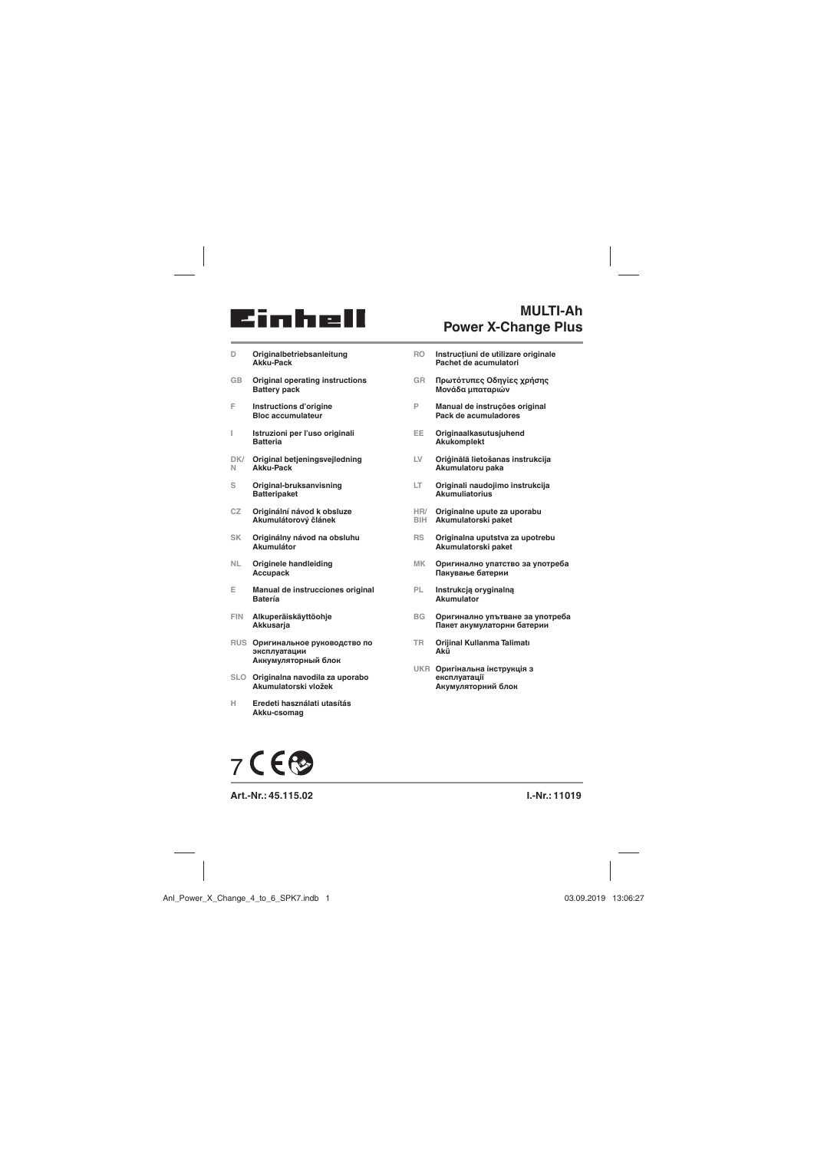# Einhell

- **D Originalbetriebsanleitung Akku-Pack**
- **GB Original operating instructions Battery pack**
- **F Instructions d'origine Bloc accumulateur**
- **I Istruzioni per l'uso originali Batteria**
- **DK/ Original betjeningsvejledning N Akku-Pack**
- **S Original-bruksanvisning Batteripaket**
- **CZ Originální návod k obsluze Akumulátorový článek**
- **SK Originálny návod na obsluhu Akumulátor**
- **NL Originele handleiding Accupack**
- **E Manual de instrucciones original Batería**
- **FIN Alkuperäiskäyttöohje Akkusarja**
- **RUS Оригинальное руководство по эксплуатации Аккумуляторный блок**
- **SLO Originalna navodila za uporabo Akumulatorski vložek**
- **H Eredeti használati utasítás Akku-csomag**

7 (七

**Art.-Nr.: 45.115.02 I.-Nr.: 11019**

## **MULTI-Ah Power X-Change Plus**

- **RO Instrucţiuni de utilizare originale Pachet de acumulatori**
- **GR Πρωτότυπες Οδηγίες χρήσης Mονάδα μπαταριών**
- **P Manual de instruções original Pack de acumuladores**
- **EE Originaalkasutusjuhend Akukomplekt**
- **LV Oriģinālā lietošanas instrukcija Akumulatoru paka**
- **LT Originali naudojimo instrukcija Akumuliatorius**
- **HR/ Originalne upute za uporabu BIH Akumulatorski paket**
- **RS Originalna uputstva za upotrebu Akumulatorski paket**
- **MK Оригинално упатство за употреба Пакување батерии**
- **PL Instrukcją oryginalną Akumulator**
- **BG Оригинално упътване за употреба Пакет акумулаторни батерии**
- **TR Orijinal Kullanma Talimatı Akü**
- **UKR Оригінальна інструкція з експлуатації Акумуляторний блок**

Anl\_Power\_X\_Change\_4\_to\_6\_SPK7.indb 1 03.09.2019 13:06:27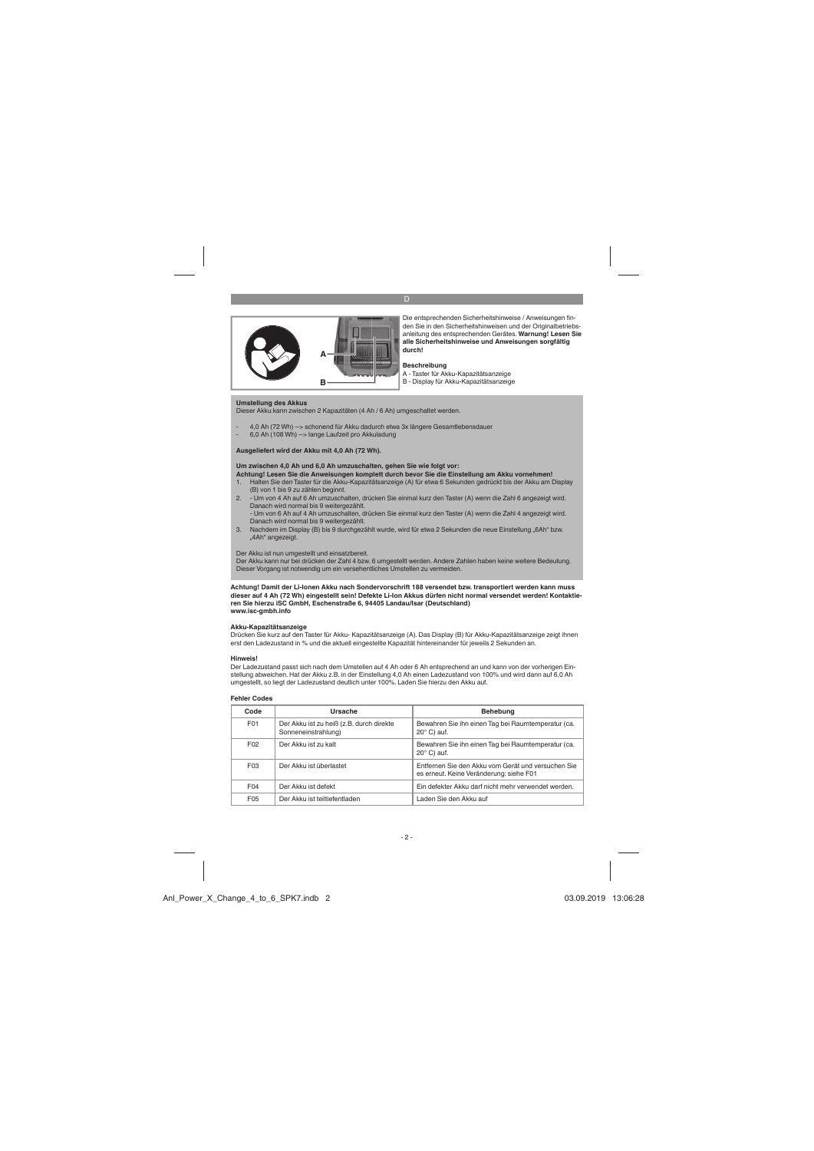

Die entsprechenden Sicherheitshinweise / Anweisungen fin-<br>den Sie in den Sicherheitshinweisen und der OriginalDetriebs-<br>anleitung des entsprechenden Gerätes. Warnung! Lesen Sie<br>alle Sicherheitshinweise und Anweisungen sorg **durch!**

**Beschreibung**  A - Taster für Akku-Kapazitätsanzeige B - Display für Akku-Kapazitätsanzeige

## **Umstellung des Akkus**

;<br>hen 2 Kapazitäten (4 Ah / 6 Ah) umgeschaltet werden.

 $\Box$ 

- 4,0 Ah (72 Wh) --> schonend für Akku dadurch etwa 3x längere Gesamtlebensdauer - 6,0 Ah (108 Wh) --> lange Laufzeit pro Akkuladung

## **Ausgeliefert wird der Akku mit 4,0 Ah (72 Wh).**

- 
- 
- Um zwischen 4,0 Ah und 6,0 Ah umzuschalten, gehen Sie wie folgt vor:<br>Achtung! Lesen Sie die Anweisungen komplett durch bevor Sie die Einstellung am Akku vornehmen!<br>1. Hallen Sie den Taster für die Akku-Kapazitätsanzeige (A
- 

Der Akku ist nun umgestellt und einsatzbereit.<br>Der Akku kann nur bei drücken der Zahl 4 bzw. 6 umgestellt werden. Andere Zahlen haben keine weitere Bedeutung.<br>Dieser Vorgang ist notwendig um ein versehentliches Umstellen z

Achtung! Damit der Li-Ionen Akku nach Sondervorschrift 188 versendet bzw. transportiert werden kann muss<br>dieser auf 4 Ah (72 Wh) eingestellt sein! Defekte Li-Ion Akkus dürfen nicht normal versendet werden! Kontaktie<br>ren Si **www.isc-gmbh.info**

**Akku-Kapazitätsanzeige**<br>Drücken Sie kurz auf den Taster für Akku- Kapazitätsanzeige (A). Das Display (B) für Akku-Kapazitätsanzeige zeigt ihnen<br>erst den Ladezustand in % und die aktuell eingestellte Kapazität hintereinand

**Hinweis!**<br>Der Ladezustand passt sich nach dem Umstellen auf 4 Ah oder 6 Ah entsprechend an und kann von der vorherigen Ein-<br>stellung abweichen. Hat der Akku z.B. in der Einstellung 4,0 Ah einen Ladezustand von 100% und wi

**Fehler Codes**

| Code            | Ursache                                                         | Behebung                                                                                      |  |
|-----------------|-----------------------------------------------------------------|-----------------------------------------------------------------------------------------------|--|
| F <sub>01</sub> | Der Akku ist zu heiß (z.B. durch direkte<br>Sonneneinstrahlung) | Bewahren Sie ihn einen Tag bei Raumtemperatur (ca.<br>$20^{\circ}$ C) auf.                    |  |
| F <sub>02</sub> | Der Akku ist zu kalt                                            | Bewahren Sie ihn einen Tag bei Raumtemperatur (ca.<br>$20^\circ$ C) auf.                      |  |
| F <sub>03</sub> | Der Akku ist überlastet                                         | Entfernen Sie den Akku vom Gerät und versuchen Sie<br>es erneut. Keine Veränderung: siehe F01 |  |
| F <sub>04</sub> | Der Akku ist defekt                                             | Ein defekter Akku darf nicht mehr verwendet werden.                                           |  |
| F <sub>05</sub> | Der Akku ist teiltiefentladen                                   | Laden Sie den Akku auf                                                                        |  |

 $-2 -$ 

Anl\_Power\_X\_Change\_4\_to\_6\_SPK7.indb 2 03.09.2019 13:06:28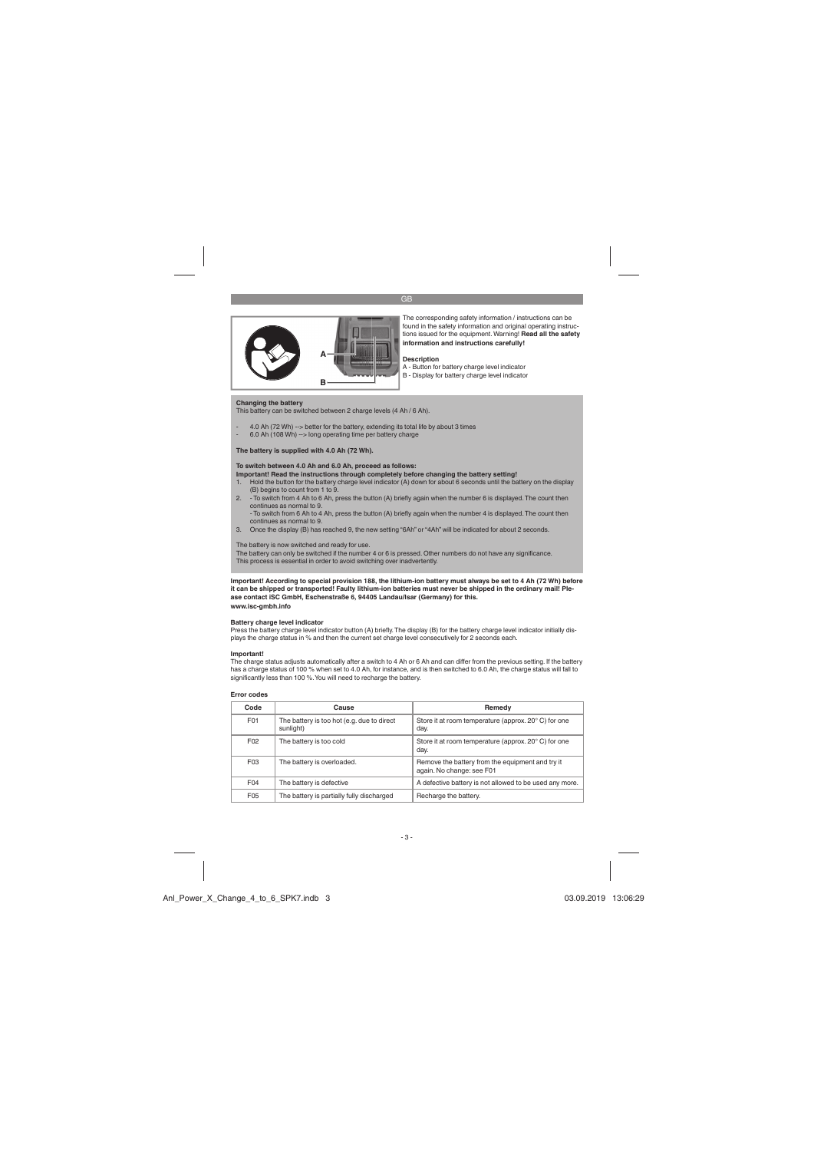GB



The corresponding safety information / instructions can be found in the safety information and original operating instruc-tions issued for the equipment. Warning! **Read all the safety information and instructions carefully!**

**Description**  A - Button for battery charge level indicator B - Display for battery charge level indicator

**Changing the battery** This battery can be switched between 2 charge levels (4 Ah / 6 Ah).

- 4.0 Ah (72 Wh) --> better for the battery, extending its total life by about 3 times - 6.0 Ah (108 Wh) --> long operating time per battery charge

 $\Box$ 

## **The battery is supplied with 4.0 Ah (72 Wh).**

- -
- To switch between 4.0 Ah and 6.0 Ah, proceed as follows:<br>
Important! Read the instructions through completely before changing the battery setting!<br>
1. Hold the button for the battery charge level indicator (A) down for ab
- 

The battery is now switched and ready for use.<br>The battery can only be switched if the number 4 or 6 is pressed. Other numbers do not have any significance<br>This process is essential in order to avoid switching over inadver

Important! According to special provision 188, the lithium-ion battery must always be set to 4 Ah (72 Wh) before<br>it can be shipped or transported! Faulty lithium-ion batteries must never be shipped in the ordinary mail! Pl **www.isc-gmbh.info**

Battery charge level indicator<br>Press the battery charge level indicator button (A) briefly. The display (B) for the battery charge level indicator initially dis-<br>plays the charge status in % and then the current set charge

## **Important!**

The charge status adjusts automatically after a switch to 4 Ah or 6 Ah and can differ from the previous setting. If the battery<br>has a charge status of 100 % when set to 4.0 Ah, for instance, and is then switched to 6.0 Ah,

**Error codes**

| Code            | Cause                                                   | Remedy                                                                        |
|-----------------|---------------------------------------------------------|-------------------------------------------------------------------------------|
| F <sub>01</sub> | The battery is too hot (e.g. due to direct<br>sunlight) | Store it at room temperature (approx. 20° C) for one<br>day.                  |
| F <sub>02</sub> | The battery is too cold                                 | Store it at room temperature (approx. 20° C) for one<br>day.                  |
| F <sub>03</sub> | The battery is overloaded.                              | Remove the battery from the equipment and try it<br>again. No change: see F01 |
| F <sub>04</sub> | The battery is defective                                | A defective battery is not allowed to be used any more.                       |
| F <sub>05</sub> | The battery is partially fully discharged               | Recharge the battery.                                                         |

- 3 -

Anl\_Power\_X\_Change\_4\_to\_6\_SPK7.indb 3 03.09.2019 13:06:29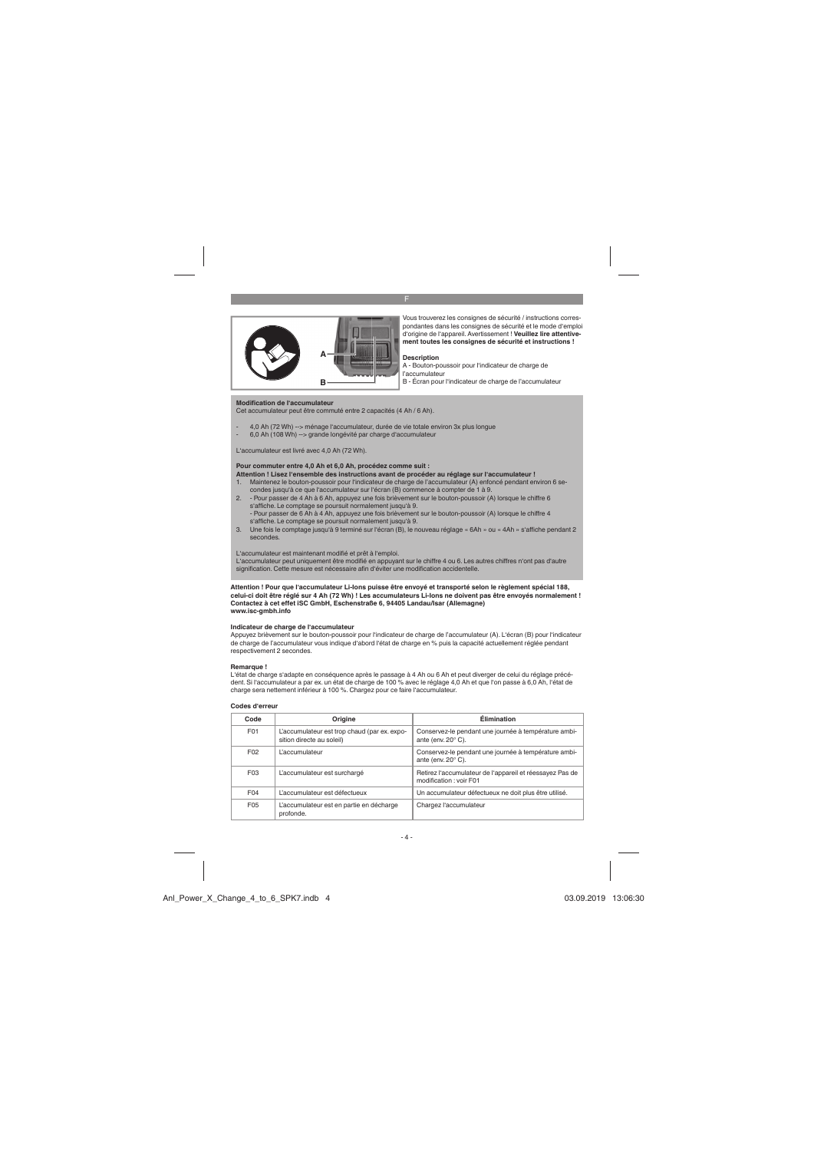

F

Vous trouverez les consignes de sécurité / instructions correspondantes dans les consignes de sécurité et le mode d'emploi<br>d'origine de l'appareil. Avertissement ! Veuillez lire attentive-<br>ment toutes les consignes de sécu

**Description** A - Bouton-poussoir pour l'indicateur de charge de

l'accumulateur B - Écran pour l'indicateur de charge de l'accumulateur

## **Modification de l'accumulateur**<br>Cet accumulateur peut être commuté entre 2 capacités (4 Ah / 6 Ah).

- 4,0 Ah (72 Wh) --> ménage l'accumulateur, durée de vie totale environ 3x plus longue - 6,0 Ah (108 Wh) --> grande longévité par charge d'accumulateur

## L'accumulateur est livré avec 4,0 Ah (72 Wh).

- 
- 
- Pour commuter entre 4,0 Ah et 6,0 Ah, procéder comme suit :<br>
Attention I Lisez l'ensemble des instructions avant de procéder au réglage sur l'accumulateur !<br>
1. Maintenz le bouton-poussoir pour l'indicateur de charge de l'
- 

L'accumulateur est maintenant modifié et prêt à l'emploi.<br>L'accumulateur peut uniquement être modifié en appuyant sur le chiffre 4 ou 6. Les autres chiffres n'ont pas d'autre<br>signification. Cette mesure est nécessaire afin

Attention ! Pour que l'accumulateur Li-lons puisse être envoyé et transporté selon le règlement spécial 188,<br>celui-ci doit être réglé sur 4 Ah (72 Wh) ! Les accumulateurs Li-lons ne doivent pas être envoyés normalement !<br>C **www.isc-gmbh.info**

I**ndicateur de charge de l'accumulateur**<br>Appuyez brièvement sur le bouton-poussoir pour l'indicateur de charge de l'accumulateur (A). L'écran (B) pour l'indicateur<br>de charge de l'accumulateur vous indique d'abord l'état de

## **Remarque !**

L'état de charge s'adapte en conséquence après le passage à 4 Ah ou 6 Ah et peut diverger de celui du réglage précé-<br>dent. Si l'accumulateur a par ex. un état de charge de 100 % avec le réglage 4,0 Ah et que l'on passe à 6

| . . | . |  |  |
|-----|---|--|--|
|     |   |  |  |
|     |   |  |  |

| Code            | Origine                                                                   | Élimination                                                                         |
|-----------------|---------------------------------------------------------------------------|-------------------------------------------------------------------------------------|
| F <sub>01</sub> | L'accumulateur est trop chaud (par ex. expo-<br>sition directe au soleil) | Conservez-le pendant une journée à température ambi-<br>ante (env. $20^{\circ}$ C). |
| F <sub>02</sub> | L'accumulateur                                                            | Conservez-le pendant une journée à température ambi-<br>ante (env. $20^{\circ}$ C). |
| F <sub>03</sub> | L'accumulateur est surchargé                                              | Retirez l'accumulateur de l'appareil et réessayez Pas de<br>modification : voir F01 |
| F <sub>04</sub> | L'accumulateur est défectueux                                             | Un accumulateur défectueux ne doit plus être utilisé.                               |
| F <sub>05</sub> | L'accumulateur est en partie en décharge<br>profonde.                     | Chargez l'accumulateur                                                              |

- 4 -

Anl\_Power\_X\_Change\_4\_to\_6\_SPK7.indb 4 03.09.2019 13:06:30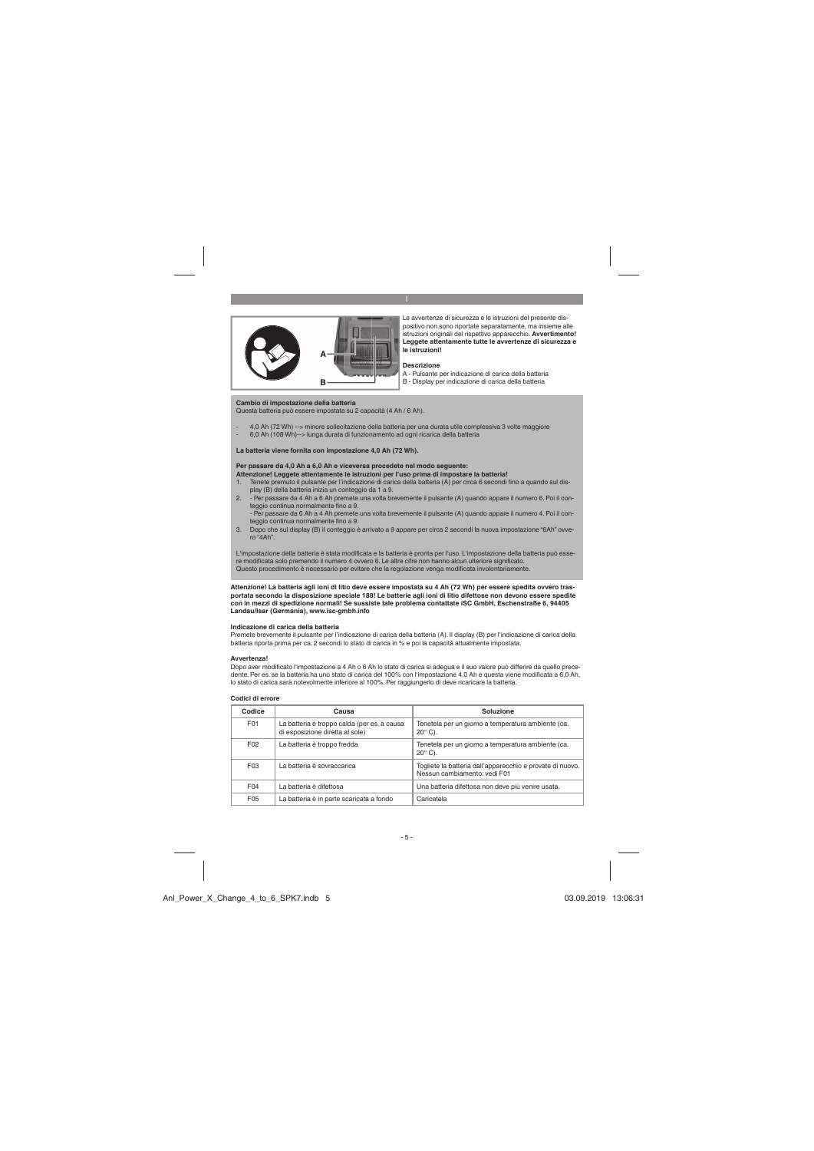

Le avvertenze di sicurezza e le istruzioni del presente dispositivo non sono riportate separatamente, ma insieme alle istruzioni originali del rispettivo apparecchio. **Avvertimento! Leggete attentamente tutte le avvertenze di sicurezza e le istruzioni!**

**Descrizione** A - Pulsante per indicazione di carica della batteria B - Display per indicazione di carica della batteria

## **Cambio di impostazione della batteria** Questa batteria può essere impostata su 2 capacità (4 Ah / 6 Ah).

- 4,0 Ah (72 Wh) --> minore sollecitazione della batteria per una durata utile complessiva 3 volte maggiore - 6,0 Ah (108 Wh)--> lunga durata di funzionamento ad ogni ricarica della batteria

## **La batteria viene fornita con impostazione 4,0 Ah (72 Wh).**

- 
- Per passare da 4,0 Ah a 6,0 Ah e viceversa procedeta nel modo seguente:<br>Attenzionel Leggete attentamente le listruzioni per l'uso prima di impostare la batteria!<br>1. Tenete premuto il pulsante per l'indicazione di carica de
- 

L'impostazione della batteria è stata modificata e la batteria è pronta per l'uso. L'impostazione della batteria può esse:<br>re modificata solo premendo il numero 4 ovvero 6. Le altre cifre non hanno alcun ulteriore signific

Attenzione! La batteria agli ioni di litio deve essere impostata su 4 Ah (72 Wh) per essere spedita ovvero tras-<br>portata secondo la disposizione speciale 188! Le batterie agli ioni di litio difettose non devono essere sped

## **Indicazione di carica della batteria**

Premete brevemente il pulsante per l'indicazione di carica della batteria (A). Il display (B) per l'indicazione di carica della<br>batteria riporta prima per ca. 2 secondi lo stato di carica in % e poi la capacità attualmente

Avvertenza!<br>Dopo aver modificato l'impostazione a 4 Ah o 6 Ah lo stato di carica si adegua e il suo valore può differire da quello prece-<br>dente. Per es. se la batteria ha uno stato di carica del 100% con l'impostazione 4,0

| Codici di errore |                                                                                |                                                                                           |  |
|------------------|--------------------------------------------------------------------------------|-------------------------------------------------------------------------------------------|--|
| Codice           | Causa                                                                          | Soluzione                                                                                 |  |
| F <sub>01</sub>  | La batteria è troppo calda (per es. a causa<br>di esposizione diretta al sole) | Tenetela per un giorno a temperatura ambiente (ca.<br>$20^{\circ}$ C).                    |  |
| F <sub>02</sub>  | La batteria è troppo fredda                                                    | Tenetela per un giorno a temperatura ambiente (ca.<br>$20^\circ$ C).                      |  |
| F <sub>03</sub>  | La batteria è sovraccarica                                                     | Togliete la batteria dall'apparecchio e provate di nuovo.<br>Nessun cambiamento: vedi F01 |  |
| F <sub>04</sub>  | La batteria è difettosa                                                        | Una batteria difettosa non deve più venire usata.                                         |  |
| F <sub>05</sub>  | La batteria è in parte scaricata a fondo                                       | Caricatela                                                                                |  |

- 5 -

Anl\_Power\_X\_Change\_4\_to\_6\_SPK7.indb 5 03.09.2019 13:06:31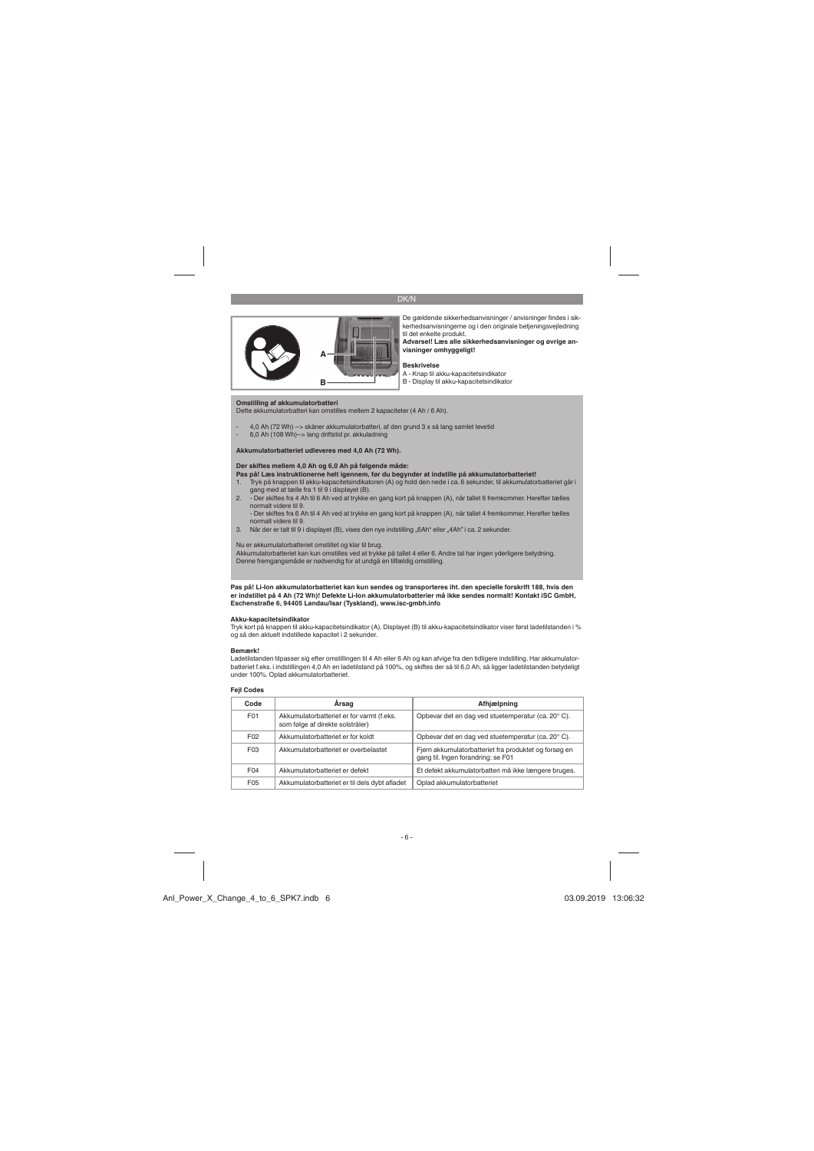DK/N



De gældende sikkerhedsanvisninger / anvisninger findes i sikkerhedsanvisningerne og i den originale betjeningsvejledning<br>kerhedsanvisningerne og i den originale betjeningsvejledning<br>Advarsel! Læs alle sikkerhedsanvisninger

**Beskrivelse** A - Knap til akku-kapacitetsindikator B - Display til akku-kapacitetsindikator

**Omstilling af akkumulatorbatteri** Dette akkumulatorbatteri kan omstilles mellem 2 kapaciteter (4 Ah / 6 Ah).

 $\Box$ 

- 4,0 Ah (72 Wh) --> skåner akkumulatorbatteri, af den grund 3 x så lang samlet levetid - 6,0 Ah (108 Wh)--> lang driftstid pr. akkuladning

## **Akkumulatorbatteriet udleveres med 4,0 Ah (72 Wh).**

- 
- Der skiltes mellem 4,0 Ah og 6,0 Ah på folgende måde:<br>
Pas på! Læs instruktionerne helt igennem, for du begynder at indstille på akkumulatorbatteriet!<br>
1. Tryk på knappen til akku-kapacitetsindikatoren (A) og hold den nede
- 
- 

Nu er akkumulatorbatteriet omstillet og klar til brug.<br>Akkumulatorbatteriet kan kun omstilles ved at trykke på tallet 4 eller 6. Andre tal har ingen yderligere betydning.<br>Denne fremgangsmåde er nødvendig for at undgå en ti

# Pas på! Li-Ion akkumulatorbatteriet kan kun sendes og transporteres iht. den specielle forskrift 188, hvis den<br>er indstillet på 4 Ah (72 Wh)! Defekte Li-Ion akkumulatorbatterier må ikke sendes normalt! Kontakt iSC GmbH,<br>Es

## **Akku-kapacitetsindikator**

Tryk kort på knappen til akku-kapacitetsindikator (A). Displayet (B) til akku-kapacitetsindikator viser først ladetilstanden i % og så den aktuelt indstillede kapacitet i 2 sekunder.

## **Bemærk!**

Ladetilstanden tilpasser sig efter omstillingen til 4 Ah eller 6 Ah og kan afvige fra den tidligere indstilling. Har akkumulator-<br>batteriet f.eks. i indstillingen 4,0 Ah en ladetilstand på 100%, og skiftes der så til 6,0 A

## **Fejl Codes**

| Code            | Ársag                                                                         | Afhjælpning                                                                                 |
|-----------------|-------------------------------------------------------------------------------|---------------------------------------------------------------------------------------------|
| F <sub>01</sub> | Akkumulatorbatteriet er for varmt (f.eks.<br>som følge af direkte solstråler) | Opbevar det en dag ved stuetemperatur (ca. 20°C).                                           |
| F <sub>02</sub> | Akkumulatorbatteriet er for koldt                                             | Opbevar det en dag ved stuetemperatur (ca. 20°C).                                           |
| F <sub>03</sub> | Akkumulatorbatteriet er overbelastet                                          | Fjern akkumulatorbatteriet fra produktet og forsøg en<br>gang til. Ingen forandring: se F01 |
| F <sub>04</sub> | Akkumulatorbatteriet er defekt                                                | Et defekt akkumulatorbatteri må ikke længere bruges.                                        |
| F <sub>05</sub> | Akkumulatorbatteriet er til dels dybt afladet                                 | Oplad akkumulatorbatteriet                                                                  |

- 6 -

Anl\_Power\_X\_Change\_4\_to\_6\_SPK7.indb 6 03.09.2019 13:06:32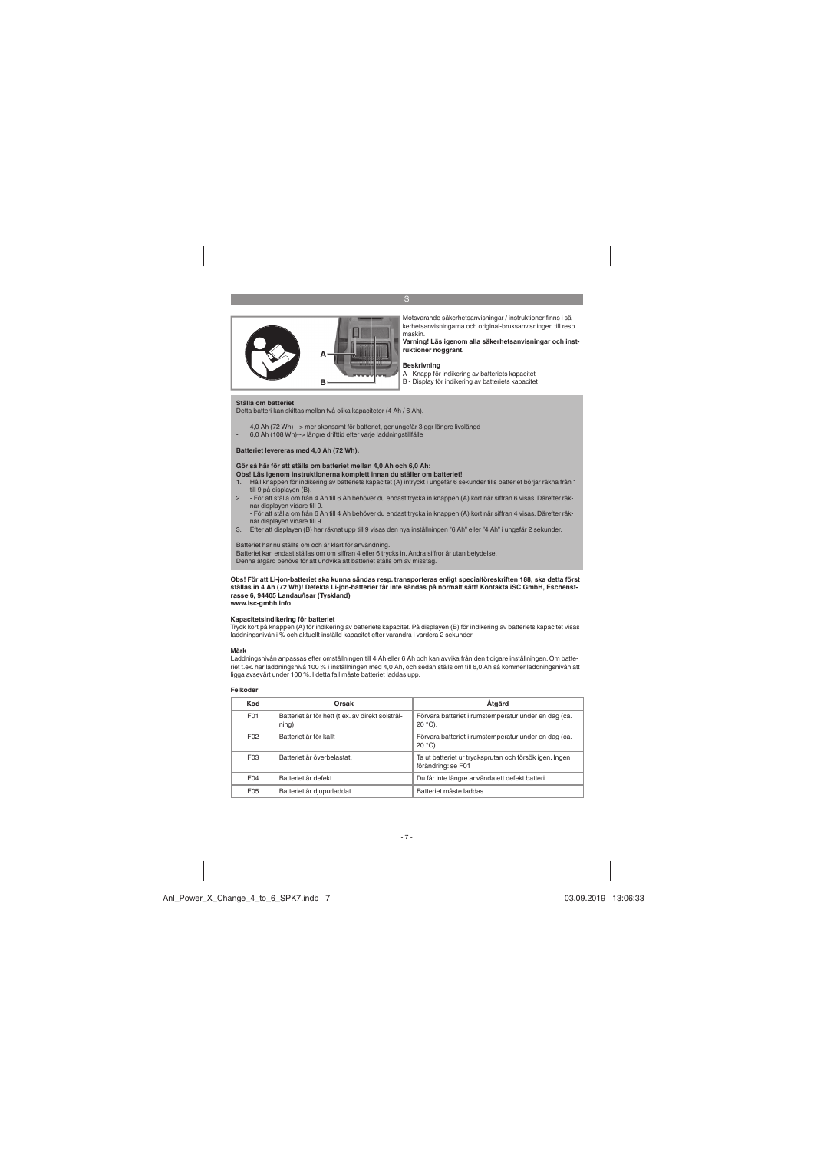



Motsvarande säkerhetsanvisningar / instruktioner finns i sä-<br>kerhetsanvisningarna och original-bruksanvisningen till resp.<br>maskin.<br>**Varning! Läs igenom alla säkerhetsanvisningar och inst**-

**ruktioner noggrant.**

**Beskrivning** A - Knapp för indikering av batteriets kapacitet B - Display för indikering av batteriets kapacitet

**Ställa om batteriet** Detta batteri kan skiftas mellan två olika kapaciteter (4 Ah / 6 Ah).

- 4,0 Ah (72 Wh) --> mer skonsamt för batteriet, ger ungefär 3 ggr längre livslängd - 6,0 Ah (108 Wh)--> längre drifttid efter varje laddningstillfälle

 $\Box$ 

## **Batteriet levereras med 4,0 Ah (72 Wh).**

**B**

- 
- Gör så hä**r för att ställa om batteriett mellan 4,0 Ah och 6,0 Ah:**<br>**Obs! Läs igenom instruktionerna komplett innan du ställer om batteriet!**<br>1. Håll knappen för indikering av batteriets kapacitet (A) intryckt i ungefär 6
	-
- 

Batteriet har nu ställts om och är klart för användning.<br>Batteriet kan endast ställas om om siffran 4 eller 6 trycks in. Andra siffror är utan betydelse.<br>Denna åtgärd behövs för att undvika att batteriet ställs om av misst

Obs! För att Li-jon-batteriet ska kunna sändas resp. transporteras enligt specialföreskriften 188, ska detta först<br>ställas in 4 Ån (72 Wh)! Defekta Li-jon-batterier får inte sändas på normalt sätt! Kontakta iSC GmbH, Esche **www.isc-gmbh.info**

**Kapacitetsindikering för batteriet**<br>Tryck kort på knappen (A) för indikering av batteriets kapacitet. På displayen (B) för indikering av batteriets kapacitet visas<br>laddningsnivån i % och aktuellt inställd kapacitet efter

## **Märk**

Laddningsnivån anpassas efter omställningen till 4 Ah eller 6 Ah och kan avvika från den tidigare inställningen. Om batte-<br>riet t.ex. har laddningsnivå 100 % i inställningen med 4,0 Ah, och sedan ställs om till 6,0 Ah så k

## **Felkoder**

| Kod             | Orsak                                                     | Åtaärd                                                                       |
|-----------------|-----------------------------------------------------------|------------------------------------------------------------------------------|
| F <sub>01</sub> | Batteriet är för hett (t.ex. av direkt solstrål-<br>nina) | Förvara batteriet i rumstemperatur under en dag (ca.<br>$20^{\circ}$ C).     |
| F <sub>02</sub> | Batteriet är för kallt                                    | Förvara batteriet i rumstemperatur under en dag (ca.<br>$20 °C$ ).           |
| F <sub>03</sub> | Batteriet är överbelastat.                                | Ta ut batteriet ur trycksprutan och försök igen. Ingen<br>förändring: se F01 |
| F <sub>04</sub> | Batteriet är defekt                                       | Du får inte längre använda ett defekt batteri.                               |
| F <sub>05</sub> | Batteriet är djupurladdat                                 | Batteriet mâste laddas                                                       |

- 7 -

Anl\_Power\_X\_Change\_4\_to\_6\_SPK7.indb 7 03.09.2019 13:06:33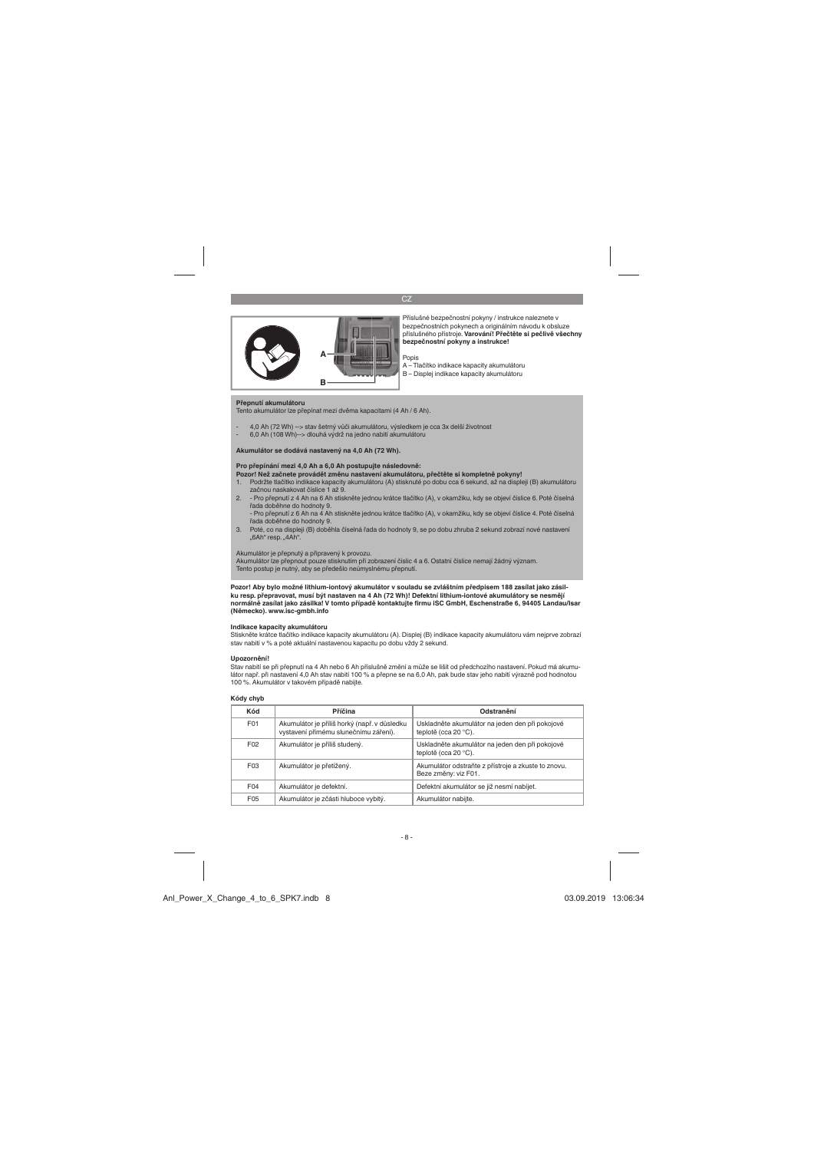CZ



Příslušné bezpečnostní pokyny / instrukce naleznete v bezpečnostních pokynech a originálním návodu k obsluze<br>příslušného přístroje. **Varování! Přečtěte si pečlivě všechny**<br>**bezpečnostní pokyny a instrukce!** 

Popis A – Tlačítko indikace kapacity akumulátoru B – Displej indikace kapacity akumulátoru

**Přepnutí akumulátoru** Tento akumulátor lze přepínat mezi dvěma kapacitami (4 Ah / 6 Ah).

- 4,0 Ah (72 Wh) --> stav šetrný vůči akumulátoru, výsledkem je cca 3x delší životnost - 6,0 Ah (108 Wh)--> dlouhá výdrž na jedno nabití akumulátoru

 $\Box$ 

## **Akumulátor se dodává nastavený na 4,0 Ah (72 Wh).**

- 
- 
- Pro přepínání mezi 4,0 Ah a 6,0 Ah postupujte následovně:<br>
Pozor! Než začnete provádět změnu nastavení akumulátoru, přečtěte si kompletně pokyny!<br>
1. Podržte lačítko indikace kapacity akumulátoru (A) stisknuté po dobu cca
- 

Akumulátor je přepnutý a připravený k provozu.<br>Akumulátor lze přepnout pouze stisknutím při zobrazení číslic 4 a 6. Ostatní číslice nemají žádný význam.<br>Tento postup je nutný, aby se předešlo neúmyslnému přepnutí.

# Pozor! Aby bylo možné lithium-iontový akumulátor v souladu se zvláštním předpisem 188 zasílat jako zásil-<br>ku resp. přepravovat, musí být nastaven na 4 Ah (72 Wh)! Defektní lithium-iontové akumulátory se nesmějí<br>normálně za

I**ndikace kapacity akumulátoru**<br>Stiskněte krátce tlačítko indikace kapacity akumulátoru (A). Displej (B) indikace kapacity akumulátoru vám nejprve zobrazí<br>stav nabití v % a poté aktuální nastavenou kapacitu po dobu vždy 2

**Upozornění!**<br>Stav nabítí se při přepnutí na 4 Ah nebo 6 Ah příslušně změní a může se lišit od předchozího nastavení. Pokud má akumu-<br>látor např. při nastavení 4,0 Ah stav nabítí 100 % a přepne se na 6,0 Ah, pak bude stav

**Kódy chyb**

| Kód              | Příčina                                                                               | Odstranění                                                                  |
|------------------|---------------------------------------------------------------------------------------|-----------------------------------------------------------------------------|
| F <sub>01</sub>  | Akumulátor je příliš horký (např. v důsledku<br>vystavení přímému slunečnímu záření). | Uskladněte akumulátor na jeden den při pokojové<br>teplotě (cca 20 °C).     |
| F <sub>02</sub>  | Akumulátor je příliš studený.                                                         | Uskladněte akumulátor na jeden den při pokojové<br>teplotě (cca 20 °C).     |
| F <sub>0</sub> 3 | Akumulátor je přetížený.                                                              | Akumulátor odstraňte z přístroje a zkuste to znovu.<br>Beze změny: viz F01. |
| F <sub>04</sub>  | Akumulátor je defektní.                                                               | Defektní akumulátor se již nesmí nabíjet.                                   |
| F <sub>05</sub>  | Akumulátor je zčásti hluboce vybitý.                                                  | Akumulátor nabiite.                                                         |

- 8 -

Anl\_Power\_X\_Change\_4\_to\_6\_SPK7.indb 8 03.09.2019 13:06:34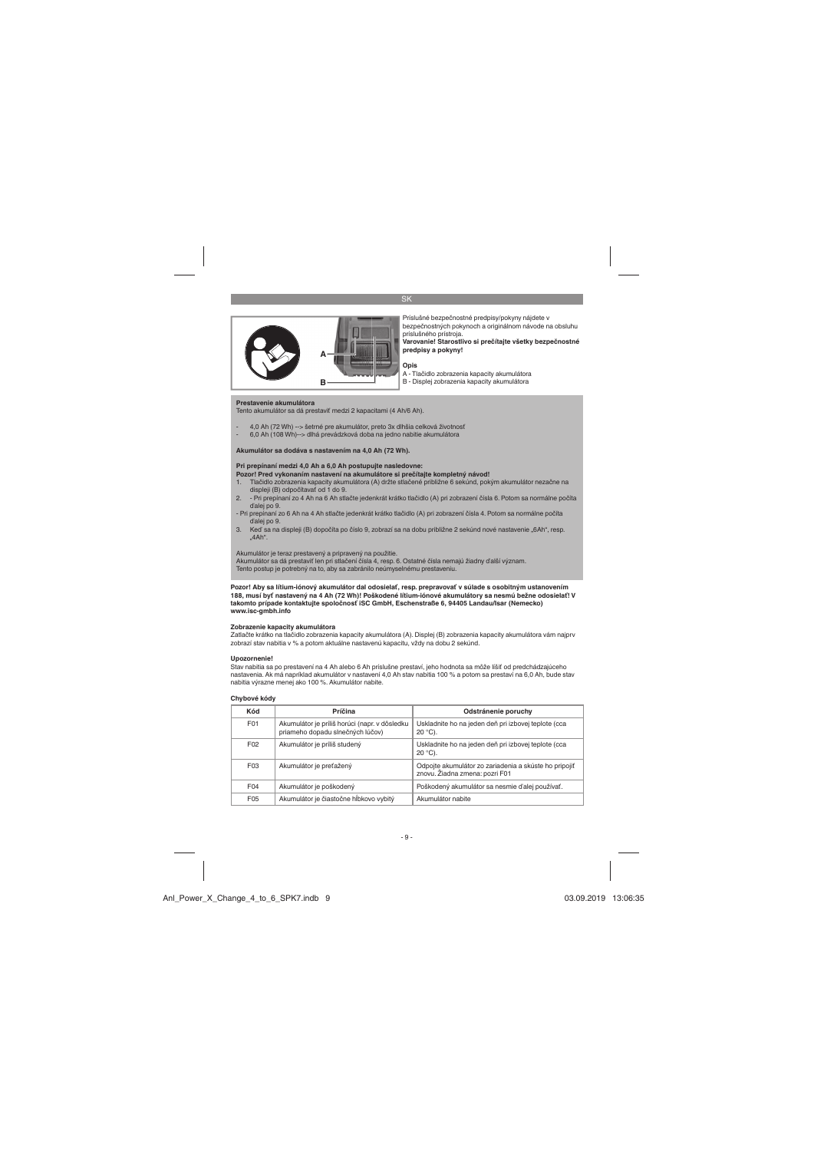**SK** 



Príslušné bezpečnostné predpisy/pokyny nájdete v<br>bezpečnostných pokynoch a originálnom návode na obsluhu<br>príslušného prístroja.<br>**Varovanie! Starostlivo si prečítajte všetky <b>bezpečnostné** 

**predpisy a pokyny!**

**Opis** A - Tlačidlo zobrazenia kapacity akumulátora B - Displej zobrazenia kapacity akumulátora

**Prestavenie akumulátora** Tento akumulátor sa dá prestaviť medzi 2 kapacitami (4 Ah/6 Ah).

- 4,0 Ah (72 Wh) --> šetrné pre akumulátor, preto 3x dlhšia celková životnosť 6,0 Ah (108 Wh)--> dlhá prevádzková doba na jedno nabitie akumulátora
- **Akumulátor sa dodáva s nastavením na 4,0 Ah (72 Wh).**

- 
- Pri preprinari medzi 4,0 Ah a 6,0 Ah postupujite nasledovne:<br>Pozor! Pred vykonaním nastavení na akumulátore si prečítajte kompletný návod!<br>1. Tlačidlo zobrazenia kapacity akumulátora (A) držte sltačené približne 6 sekúnd,
	-
- 
- 

Akumulátor je teraz prestavený a pripravený na použitie.<br>Akumulátor sa dá prestaviť len pri stlačení čísla 4, resp. 6. Ostatné čísla nemajú žiadny ďalší význam.<br>Tento postup je potrebný na to, aby sa zabránilo neúmyselnému

Pozor! Aby sa lítium-iónový akumulátor dal odosielať, resp. prepravovať v súlade s osobitným ustanovením<br>188, musí byť nastavený na 4 Ah (72 Wh)! Poškodené lítium-iónové akumulátory sa nesmú bežne odosielať! V<br>takomto príp

**Zobrazenie kapacity akumulátora**<br>Zatlačte krátko na tlačidlo zobrazenia kapacity akumulátora (A). Displej (B) zobrazenia kapacity akumulátora vám najprv<br>zobrazi stav nabitia v % a potom aktuálne nastavenú kapacitu, vždy n

**Upozornenie!**<br>Stav nabitia sa po prestavení na 4 Ah alebo 6 Ah príslušne prestaví, jeho hodnota sa môže lišiť od predchádzajúceho<br>nastavenia. Ak má napríklad akumulátor v nastavení 4,0 Ah stav nabitia 100 % a potom sa pre

**Chybové kódy**

| Kód             | Príčina                                                                           | Odstránenie poruchy                                                                     |  |
|-----------------|-----------------------------------------------------------------------------------|-----------------------------------------------------------------------------------------|--|
| F <sub>01</sub> | Akumulátor je príliš horúci (napr. v dôsledku<br>priameho dopadu slnečných lúčov) | Uskladnite ho na jeden deň pri izbovej teplote (cca<br>$20^{\circ}$ C).                 |  |
| F <sub>02</sub> | Akumulátor je príliš studený                                                      | Uskladnite ho na jeden deň pri izbovej teplote (cca<br>$20^{\circ}$ C).                 |  |
| F <sub>03</sub> | Akumulátor je preťažený                                                           | Odpojte akumulátor zo zariadenia a skúste ho pripojiť<br>znovu. Žiadna zmena: pozri F01 |  |
| F <sub>04</sub> | Akumulátor je poškodený                                                           | Poškodený akumulátor sa nesmie ďalej používať.                                          |  |
| F <sub>05</sub> | Akumulátor je čiastočne hĺbkovo vybitý                                            | Akumulátor nabite                                                                       |  |

- 9 -

Anl\_Power\_X\_Change\_4\_to\_6\_SPK7.indb 9 03.09.2019 13:06:35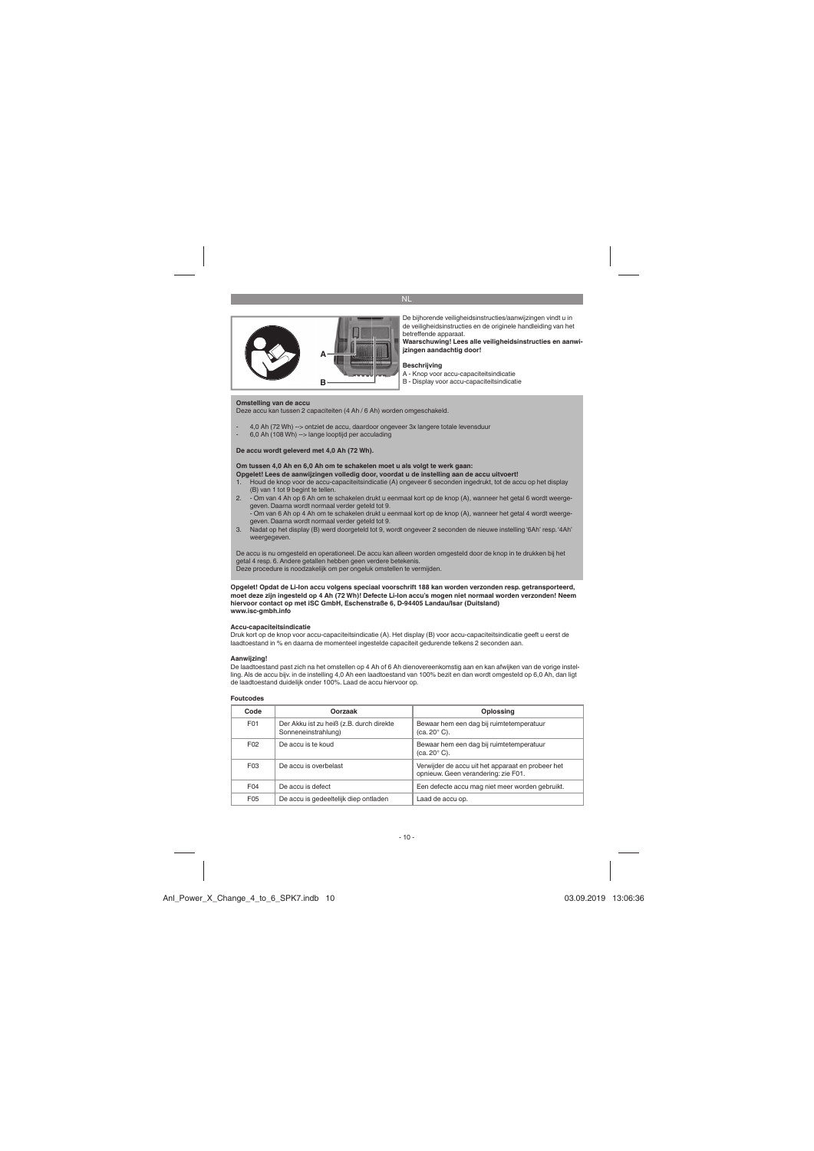

- De bijhorende veiligheidsinstructies/aanwijzingen vindt u in<br>de veiligheidsinstructies en de originele handleiding van het<br>betreffende apparaat.<br>Waarschuwing I Lees alle veiligheidsinstructies en aanwi-<br>izingen aandachtig
- **Beschrijving**

A - Knop voor accu-capaciteitsindicatie B - Display voor accu-capaciteitsindicatie

# **Omstelling van de accu**

j **van de accu**<br>kan tussen 2 capaciteiten (4 Ah / 6 Ah) worden omgeschakeld.

 $\Box$ 

- 4,0 Ah (72 Wh) --> ontziet de accu, daardoor ongeveer 3x langere totale levensduur 6,0 Ah (108 Wh) --> lange looptijd per acculading
- 

## **De accu wordt geleverd met 4,0 Ah (72 Wh).**

- 
- Om tussen 4,0 Ah en 6,0 Ah om te schakelen moet u als volgt te werk gaan:<br>Opgelet! Lees de aanwijzingen volledig door, voordat u de instelling aan de accu uitvoert!<br>1. Houd de knop voor de accu-capaciteitsindicatie (A) ong
- 

De accu is nu omgesteld en operationeel. De accu kan alleen worden omgesteld door de knop in te drukken bij het<br>getal 4 resp. 6. Andere getallen hebben geen verdere betekenis.<br>Deze procedure is noodzakelijk om per ongeluk

Opgelet! Opdat de Li-Ion accu volgens speciaal voorschrift 188 kan worden verzonden resp. getransporteerd,<br>moet deze zijn ingesteld op 4 Ah (72 Wh)! Defecte Li-Ion accu's mogen niet normaal worden verzonden! Neem<br>hiervoor

## **Accu-capaciteitsindicatie**

Druk kort op de knop voor accu-capaciteitsindicatie (A). Het display (B) voor accu-capaciteitsindicatie geeft u eerst de laadtoestand in % en daarna de momenteel ingestelde capaciteit gedurende telkens 2 seconden aan.

**Aanwijzing!**<br>De laadtoestand past zich na het omstellen op 4 Ah of 6 Ah dienovereenkomstig aan en kan afwijken van de vorige instel-<br>ling. Als de accu bijv. in de instelling 4,0 Ah een laadtoestand van 100% bezit en dan w

**Foutcodes**

| Code            | Oorzaak                                                         | Oplossing                                                                                |
|-----------------|-----------------------------------------------------------------|------------------------------------------------------------------------------------------|
| F <sub>01</sub> | Der Akku ist zu heiß (z.B. durch direkte<br>Sonneneinstrahlung) | Bewaar hem een dag bij ruimtetemperatuur<br>(ca. 20° C).                                 |
| F <sub>02</sub> | De accu is te koud                                              | Bewaar hem een dag bij ruimtetemperatuur<br>$(ca.20^{\circ}$ C).                         |
| F <sub>03</sub> | De accu is overbelast                                           | Verwijder de accu uit het apparaat en probeer het<br>opnieuw. Geen verandering: zie F01. |
| F <sub>04</sub> | De accu is defect                                               | Een defecte accu mag niet meer worden gebruikt.                                          |
| F <sub>05</sub> | De accu is gedeeltelijk diep ontladen                           | Laad de accu op.                                                                         |

- 10 -

Anl\_Power\_X\_Change\_4\_to\_6\_SPK7.indb 10 03.09.2019 13:06:36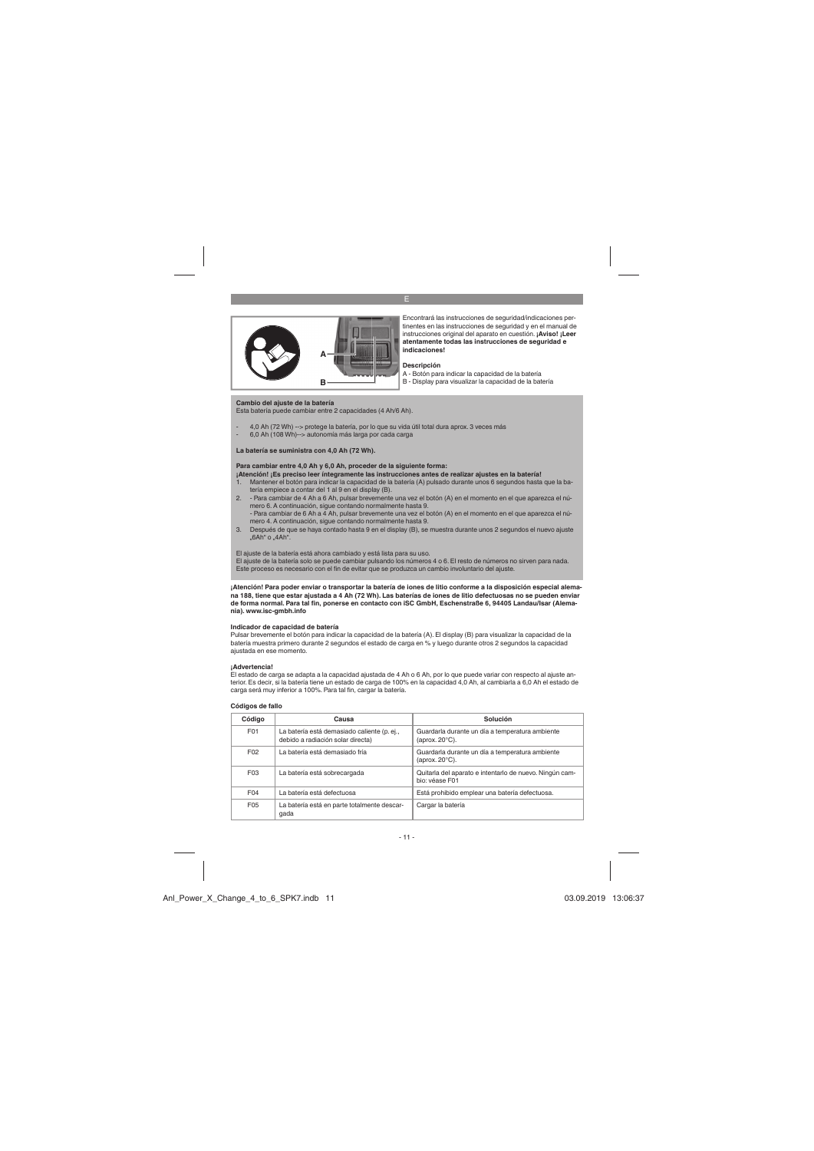

Encontrará las instrucciones de seguridad/indicaciones per-<br>tinentes en las instrucciones de seguridad y en el manual de<br>instrucciones original del aparato en cuestión. ¡**Aviso! ;Leer**<br>atentamente todas las instrucciones d **indicaciones!** 

**Descripción** A - Botón para indicar la capacidad de la batería B - Display para visualizar la capacidad de la batería

**Cambio del ajuste de la batería** Esta batería puede cambiar entre 2 capacidades (4 Ah/6 Ah).

- 4,0 Ah (72 Wh) --> protege la batería, por lo que su vida útil total dura aprox. 3 veces más - 6,0 Ah (108 Wh)--> autonomía más larga por cada carga

## **La batería se suministra con 4,0 Ah (72 Wh).**

- 
- Para cambiar entre 4,0 Ah y 6,0 Ah, proceder de la siguiente forma:<br>
jAtención! <sub>I</sub>Es preciso leer integramente las instrucciones antes de realizar ajustes en la batería!<br>
1. Mantener el botón para indicar la capacidad de
- 

El ajuste de la batería está ahora cambiado y está lista para su uso.<br>El ajuste de la batería solo se puede cambiar pulsando los números 4 o 6. El resto de números no sirven para nada.<br>Este proceso es necesario con el fin

¡Atención! Para poder enviar o transportar la batería de iones de litio conforme a la disposición especial alema<br>na 188, tiene que estar ajustada a 4 Ah (72 Wh). Las baterías de iones de litio defectuosas no se pueden envi **nia). www.isc-gmbh.info**

I**ndicador de capacidad de batería**<br>Pulsar brevemente el botón para indicar la capacidad de la batería (A). El display (B) para visualizar la capacidad de la<br>batería muestra primero durante 2 segundos el estado de carga en

¡**Advertencia!**<br>El estado de carga se adapta a la capacidad ajustada de 4 Ah o 6 Ah, por lo que puede variar con respecto al ajuste an-<br>terior. Es decir, si la batería tiene un estado de carga de 100% en la capacidad 4,0 A

## **Códigos de fallo**

| codidos de fallo |                                                                                  |                                                                             |  |
|------------------|----------------------------------------------------------------------------------|-----------------------------------------------------------------------------|--|
| Código           | Causa                                                                            | Solución                                                                    |  |
| F <sub>01</sub>  | La batería está demasiado caliente (p. ej.,<br>debido a radiación solar directa) | Guardarla durante un día a temperatura ambiente<br>(aprox. 20°C).           |  |
| F <sub>02</sub>  | La batería está demasiado fría                                                   | Guardarla durante un día a temperatura ambiente<br>(aprox. $20^{\circ}$ C). |  |
| F <sub>03</sub>  | La batería está sobrecargada                                                     | Quitarla del aparato e intentarlo de nuevo. Ningún cam-<br>bio: véase F01   |  |
| F04              | La batería está defectuosa                                                       | Está prohibido emplear una batería defectuosa.                              |  |
| F05              | La batería está en parte totalmente descar-<br>gada                              | Cargar la batería                                                           |  |

- 11 -

Anl\_Power\_X\_Change\_4\_to\_6\_SPK7.indb 11 03.09.2019 13:06:37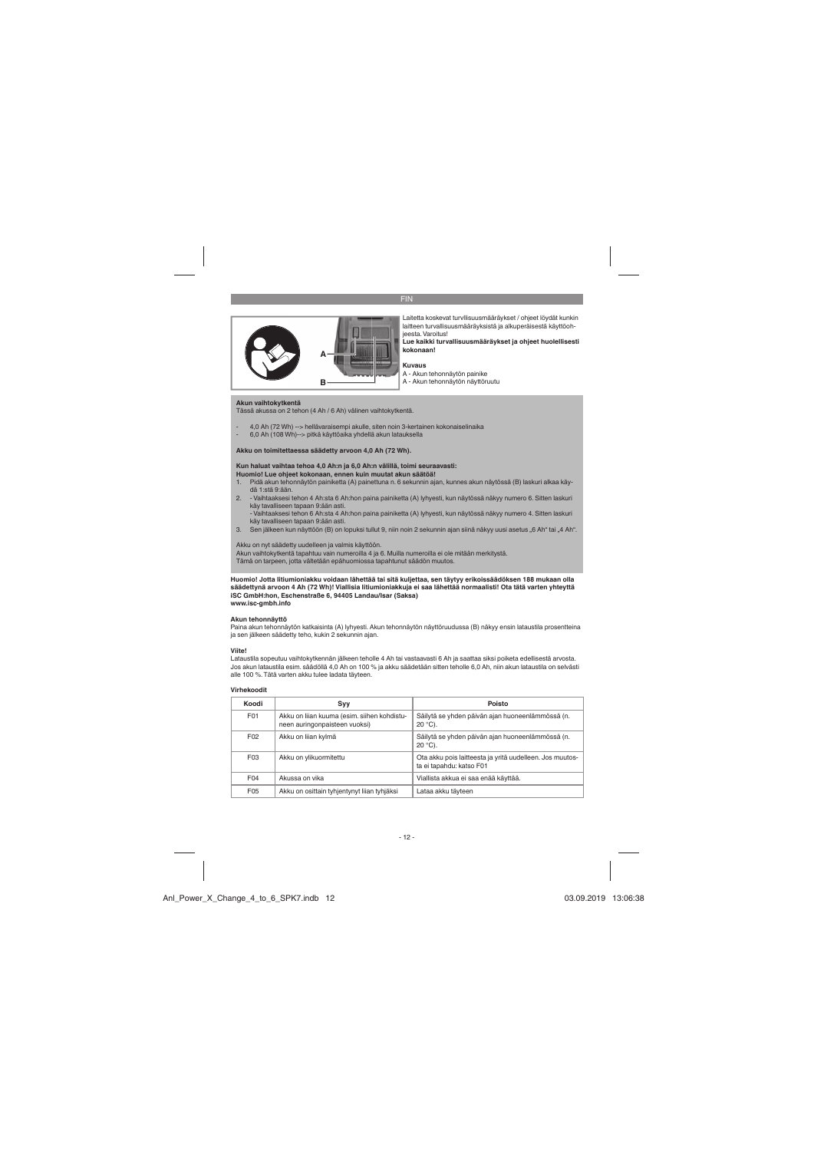

Laitetta koskevat turvllisuusmääräykset / ohjeet löydät kunkin<br>laitteen turvallisuusmääräyksistä ja alkuperäisestä käyttöoh-<br>jee**sta. Varoitus!**<br>L**ue kaikki turvallisuusmääräykset ja ohjeet huolellisesti kokonaan!**

**Kuvaus** A - Akun tehonnäytön painike A - Akun tehonnäytön näyttöruutu

**Akun vaihtokytkentä** Tässä akussa on 2 tehon (4 Ah / 6 Ah) välinen vaihtokytkentä.

- 4,0 Ah (72 Wh) --> hellävaraisempi akulle, siten noin 3-kertainen kokonaiselinaika - 6,0 Ah (108 Wh)--> pitkä käyttöaika yhdellä akun latauksella

 $\Box$ 

## **Akku on toimitettaessa säädetty arvoon 4,0 Ah (72 Wh).**

- 
- Kun haluat vaihtaa tehoa 4,0 Ah:n ja 6,0 Ah:n välillä, toimi seuraavasti:<br>Huomio! Lue ohjeet kokonaan, ennen kuin muutat akun säätöä!<br>1. Pidä akun tehonnäytön painiketta (A) painettuna n. 6 sekunnin ajan, kunnes akun näytö
	-
- 

Akku on nyt säädetty uudelleen ja valmis käyttöön.<br>Akun vaihtokytkentä tapahtuu vain numeroilla 4 ja 6. Muilla numeroilla ei ole mitään merkitystä.<br>Tämä on tarpeen, jotta vältetään epähuomiossa tapahtunut säädön muutos.

Huomio! Jotta litiumioniakku voidaan lähettää tai sitä kuljettaa, sen täytyy erikoissäädöksen 188 mukaan olla<br>säädettynä arvoon 4 Ah (72 Wh)! Viallisia litiumioniakkuja ei saa lähettää normaalisti! Ota tätä varten yhteyttä **www.isc-gmbh.info**

**Akun tehonnäyttö**<br>Paina akun tehonnäytön katkaisinta (A) lyhyesti. Akun tehonnäytön näyttöruudussa (B) näkyy ensin lataustila prosentteina<br>ja sen jälkeen säädetty teho, kukin 2 sekunnin ajan.

## **Viite!**

Lataustila sopeutuu vaihtokytkennän jälkeen teholle 4 Ah tai vastaavasti 6 Ah ja saattaa siksi poiketa edellisestä arvosta.<br>Jos akun lataustila esim. säädöllä 4,0 Ah on 100 % ja akku säädetään sitten teholle 6,0 Ah, niin a

## **Virhekoodit**

| Koodi           | Syy                                                                          | Poisto                                                                               |
|-----------------|------------------------------------------------------------------------------|--------------------------------------------------------------------------------------|
| F <sub>01</sub> | Akku on liian kuuma (esim. siihen kohdistu-<br>neen auringonpaisteen vuoksi) | Säilytä se yhden päivän ajan huoneenlämmössä (n.<br>$20^{\circ}$ C).                 |
| F <sub>02</sub> | Akku on liian kylmä                                                          | Säilytä se yhden päivän ajan huoneenlämmössä (n.<br>$20^{\circ}$ C).                 |
| F <sub>03</sub> | Akku on ylikuormitettu                                                       | Ota akku pois laitteesta ja yritä uudelleen. Jos muutos-<br>ta ei tapahdu: katso F01 |
| F <sub>04</sub> | Akussa on vika                                                               | Viallista akkua ei saa enää käyttää.                                                 |
| F <sub>05</sub> | Akku on osittain tyhjentynyt liian tyhjäksi                                  | Lataa akku täyteen                                                                   |

- 12 -

Anl\_Power\_X\_Change\_4\_to\_6\_SPK7.indb 12 03.09.2019 13:06:38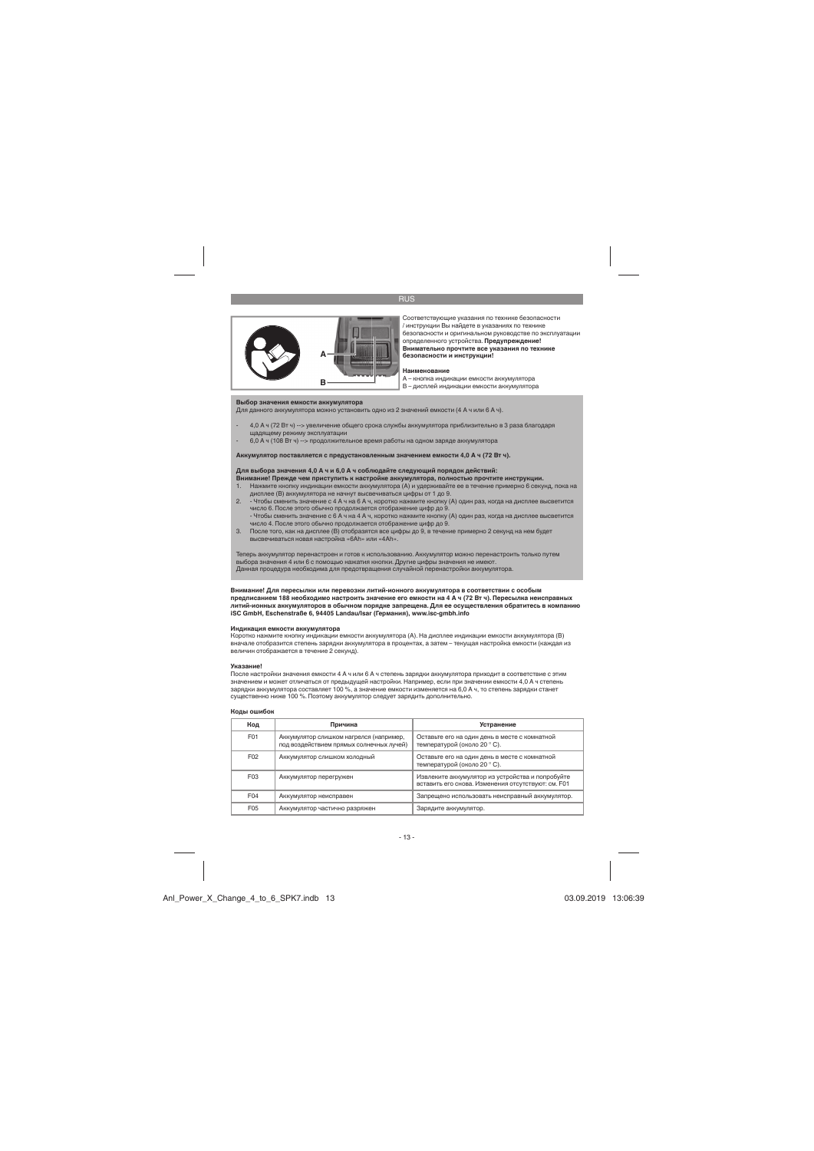

Соответствующие указания по технике безопасности<br>/ инструкции Вы найдете в указаниях по технике<br>безопасности и оригинальном руководстве по эксплуатации<br>определенного устройства. **Предупреждение!**<br>Вни**мательно прочтите все** 

**Наименование** A – кнопка индикации емкости аккумулятора В – дисплей индикации емкости аккумулятора

**Выбор значения емкости аккумулятора** Для данного аккумулятора можно установить одно из 2 значений емкости (4 А ч или 6 А ч).

- 4,0 А ч (72 Вт ч) --> увеличение общего срока службы аккумулятора приблизительно в 3 раза благодаря<br> щадящему режиму эксплуатации<br>- 6,0 А ч (108 Вт ч) --> продолжительное время работы на одном заряде
- 

 $D$ 

## **Аккумулятор поставляется с предустановленным значением емкости 4,0 А ч (72 Вт ч).**

- Для выбора значения 4,0 А ч и 6,0 А ч соблюдайте следующий порядок действий:<br>Внимание! Прежде чем приступить к настройке анкумулятора, полностью прочтите инструкции.<br>1. Нажмите кнопку индикации емкости аккумулятора (А) и
	-
- 

Теперь аккумулятор перенастроен и готов к использованию. Аккумулятор можно перенастроить только путем<br>выбора значения 4 или 6 с помощью нажатия кнопки. Другие цифры значения не имеют.<br>Данная процедура необходима для предо

Внимание! Для пересылни или перевозки литий-монного аккумулятора в соответствии с особым<br>предписанием 188 необходимо настроить значение его емкости на 4 А ч (72 Вт ч). Пересылка неисправных<br>литий-монных аккумуляторов в об

**Индикация емкости аккумулятора**<br>Коротко нажмите кнопку индикации емкости аккумулятора (А). На дисплее индикации емкости аккумулятора (В)<br>вначале отобразится степень зарядки аккумулятора в процентах, а затем – текущая нас

## **Указание!**

После настройки значения емкости 4 А ч или 6 А ч степень зарядки аккумулятора приходит в соответствие с этим<br>значением и может отличаться от предыдущей настройки. Например, если при значении емкости 4,0 А ч степень<br>зарядк

| Коды ошибок     |                                                                                     |                                                                                                        |
|-----------------|-------------------------------------------------------------------------------------|--------------------------------------------------------------------------------------------------------|
| Код             | Причина                                                                             | Устранение                                                                                             |
| F <sub>01</sub> | Аккумулятор слишком нагрелся (например,<br>под воздействием прямых солнечных лучей) | Оставьте его на один день в месте с комнатной<br>температурой (около 20 °С).                           |
| F <sub>02</sub> | Аккумулятор слишком холодный                                                        | Оставьте его на один день в месте с комнатной<br>температурой (около 20 °С).                           |
| F <sub>03</sub> | Аккумулятор перегружен                                                              | Извлеките аккумулятор из устройства и попробуйте<br>вставить его снова. Изменения отсутствуют: см. F01 |
| F <sub>04</sub> | Аккумулятор неисправен                                                              | Запрещено использовать неисправный аккумулятор.                                                        |
| F05             | Аккумулятор частично разряжен                                                       | Зарядите аккумулятор.                                                                                  |

- 13 -

Anl\_Power\_X\_Change\_4\_to\_6\_SPK7.indb 13 03.09.2019 13:06:39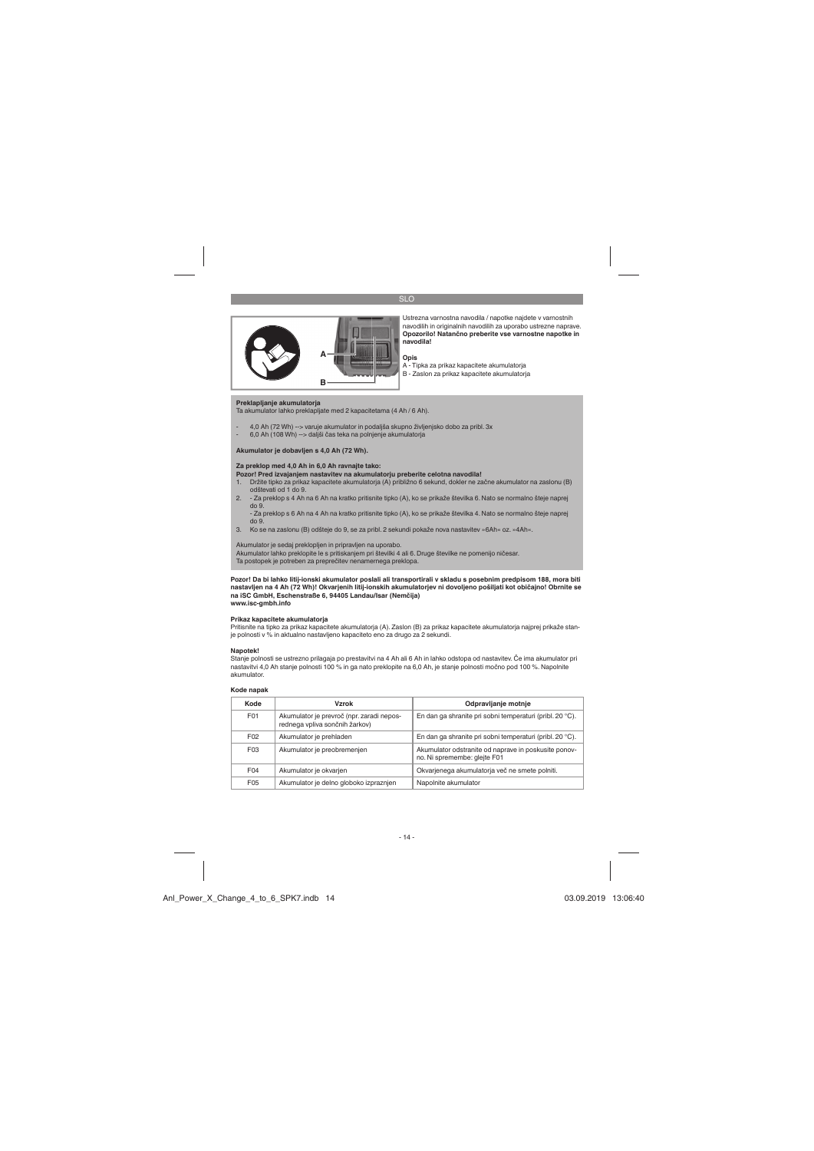SLO



Ustrezna varnostna navodila / napotke najdete v varnostnih navodilih in originalnih navodilih za uporabo ustrezne naprave. **Opozorilo! Natančno preberite vse varnostne napotke in navodila!**

**Opis** A - Tipka za prikaz kapacitete akumulatorja A - Tipka za prikaz kapacitete akumulatorja<br>B - Zaslon za prikaz kapacitete akumulatorja

**Preklapljanje akumulatorja** Ta akumulator lahko preklapljate med 2 kapacitetama (4 Ah / 6 Ah).

- 4,0 Ah (72 Wh) --> varuje akumulator in podaljša skupno življenjsko dobo za pribl. 3x - 6,0 Ah (108 Wh) --> daljši čas teka na polnjenje akumulatorja

## **Akumulator je dobavljen s 4,0 Ah (72 Wh).**

- 
- Za preklop med 4,0 Ah in 6,0 Ah ravnajte tako:<br>Pozor! Pred izvajanjem nastavitev na akumulatorju preberite celotna navodila!<br>1. Držite tipko za prikaz kapacitete akumulatorja (A) približno 6 sekund, dokler ne začne akumula
	-
- 
- 

Akumulator je sedaj preklopljen in pripravljen na uporabo.<br>Akumulator lahko preklopite le s pritiskanjem pri številki 4 ali 6. Druge številke ne pomenijo ničesar.<br>Ta postopek je potreben za preprečitev nenamernega preklopa

Pozor! Da bi lahko litij-ionski akumulator poslali ali transportirali v skladu s posebnim predpisom 188, mora biti<br>nastavljen na 4 Ah (72 Wh)! Okvarjenih litij-ionskih akumulatorjev ni dovoljeno pošiljati kot običajno! Obr **www.isc-gmbh.info**

**Prikaz kapacitete akumulatorja**<br>Priitsnite na tipko za prikaz kapacitete akumulatorja (A). Zaslon (B) za prikaz kapacitete akumulatorja najprej prikaže stan-<br>je polnosti v % in aktualno nastavljeno kapaciteto eno za drugo

## **Napotek!**

Stanje polnosti se ustrezno prilagaja po prestavitvi na 4 Ah ali 6 Ah in lahko odstopa od nastavitev. Će ima akumulator pri<br>nastavitvi 4,0 Ah stanje polnosti 100 % in ga nato preklopite na 6,0 Ah, je stanje polnosti močno

## **Kode napak**

| Kode            | Vzrok                                                                       | Odpravljanje motnje                                                                  |
|-----------------|-----------------------------------------------------------------------------|--------------------------------------------------------------------------------------|
| F <sub>01</sub> | Akumulator je prevroč (npr. zaradi nepos-<br>rednega vpliva sončnih žarkov) | En dan ga shranite pri sobni temperaturi (pribl. 20 °C).                             |
| F <sub>02</sub> | Akumulator je prehladen                                                     | En dan ga shranite pri sobni temperaturi (pribl. 20 °C).                             |
| F <sub>03</sub> | Akumulator je preobremenjen                                                 | Akumulator odstranite od naprave in poskusite ponov-<br>no. Ni spremembe: glejte F01 |
| F <sub>04</sub> | Akumulator je okvarjen                                                      | Okvarjenega akumulatorja več ne smete polniti.                                       |
| F <sub>05</sub> | Akumulator je delno globoko izpraznjen                                      | Napolnite akumulator                                                                 |

- 14 -

Anl\_Power\_X\_Change\_4\_to\_6\_SPK7.indb 14 03.09.2019 13:06:40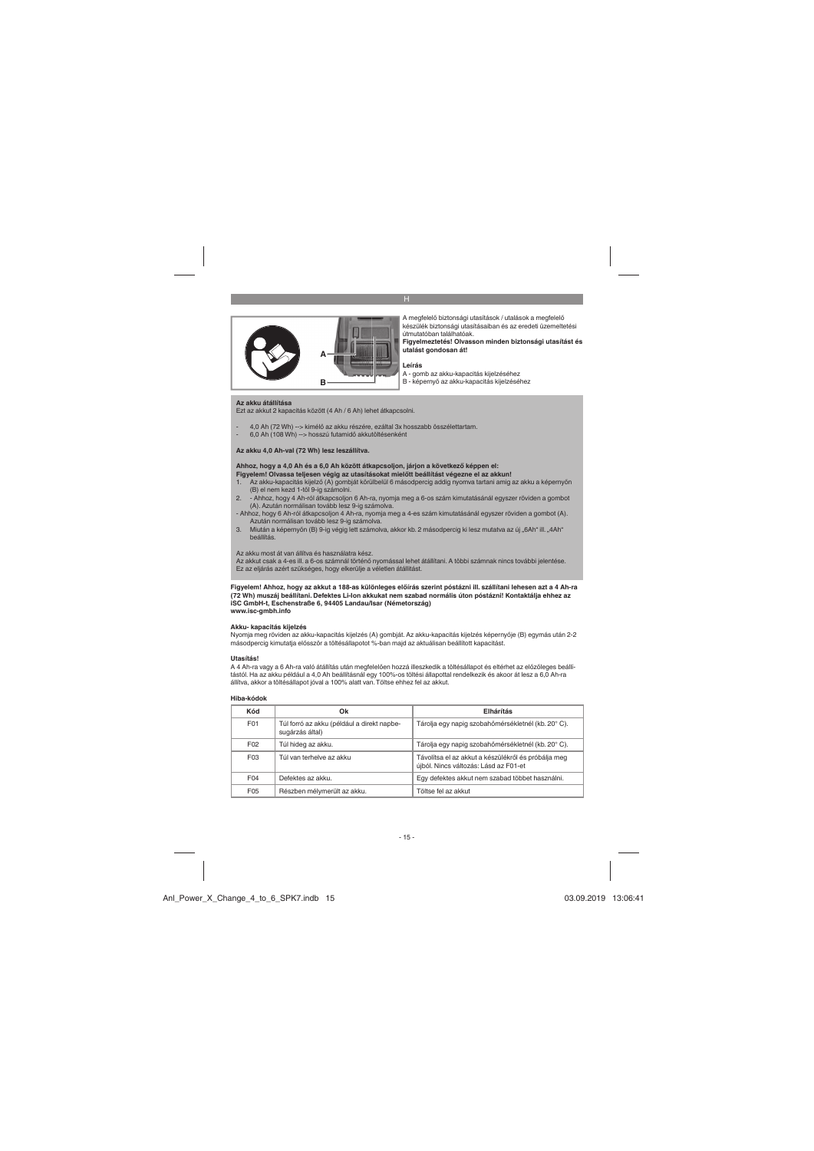

A megfelelő biztonsági utasítások / utalások a megfelelő<br>készülék biztonsági utasításaiban és az eredeti üzemeltetési<br>tímutatóban találhatóak.<br>**Figyelmeztetés! Olvasson minden biztonsági utasítást és<br>utalást gondosan át!** 

**Leírás**<br>A - gomb az akku-kapacitás kijelzéséhez<br>B - képernyő az akku-kapacitás kijelzéséhez

**Az akku átállítása** Ezt az akkut 2 kapacitás között (4 Ah / 6 Ah) lehet átkapcsolni.

- 4,0 Ah (72 Wh) --> kimélő az akku részére, ezáltal 3x hosszabb összélettartam. - 6,0 Ah (108 Wh) --> hosszú futamidő akkutöltésenként

 $\Box$ 

## **Az akku 4,0 Ah-val (72 Wh) lesz leszállítva.**

- 
- Ahhoz, hogy a 4,0 Ah és a 6,0 Ah között átkapcsoljon, járjon a következő képpen el:<br>Figyelem I Olvassa teljesen végig az utasításokat mielőti beállítást végezne el az akkun!<br>1. Az akku-kapacitás kijelző (A) gombját körülbe
- 

Az akku most át van állítva és használatra kész.<br>Az akkut csak a 4-es ill. a 6-os számnál történő nyomással lehet átállítani. A többi számnak nincs további jelentése.<br>Ez az eljárás azért szükséges, hogy elkerülje a véletle

Figyelem! Ahhoz, hogy az akkut a 188-as különleges előírás szerint póstázni ill. szállítani lehesen azt a 4 Ah-ra<br>(72 Wh) muszáj beállítani. Defektes Li-Ion akkukat nem szabad normális úton póstázni! Kontaktálja ehhez az<br>I **www.isc-gmbh.info**

## **Akku- kapacitás kijelzés**

Nyomja meg röviden az akku-kapacitás kijelzés (A) gombját. Az akku-kapacitás kijelzés képernyője (B) egymás után 2-2 másodpercig kimutatja elősször a töltésállapotot %-ban majd az aktuálisan beállított kapacitást.

**Utasítás!**<br>A 4 Ah-ra vagy a 6 Ah-ra való átállítás után megfelelően hozzá illeszkedik a töltésállapot és eltérhet az előzőleges beállí-<br>tástól. Ha az akku például a 4,0 Ah beállításnál egy 100%-os töltési állapottal rende

**Hiba-kódok**

| Kód             | Ok                                                            | Elhárítás                                                                                    |
|-----------------|---------------------------------------------------------------|----------------------------------------------------------------------------------------------|
| F <sub>01</sub> | Túl forró az akku (például a direkt napbe-<br>sugárzás által) | Tárolja egy napig szobahőmérsékletnél (kb. 20°C).                                            |
| F <sub>02</sub> | Túl hideg az akku.                                            | Tárolja egy napig szobahőmérsékletnél (kb. 20°C).                                            |
| F <sub>03</sub> | Túl van terhelve az akku                                      | Távolítsa el az akkut a készülékről és próbálja meg<br>úiból, Nincs változás: Lásd az F01-et |
| F <sub>04</sub> | Defektes az akku.                                             | Egy defektes akkut nem szabad többet használni.                                              |
| F <sub>05</sub> | Részben mélymerült az akku.                                   | Töltse fel az akkut                                                                          |

- 15 -

Anl\_Power\_X\_Change\_4\_to\_6\_SPK7.indb 15 03.09.2019 13:06:41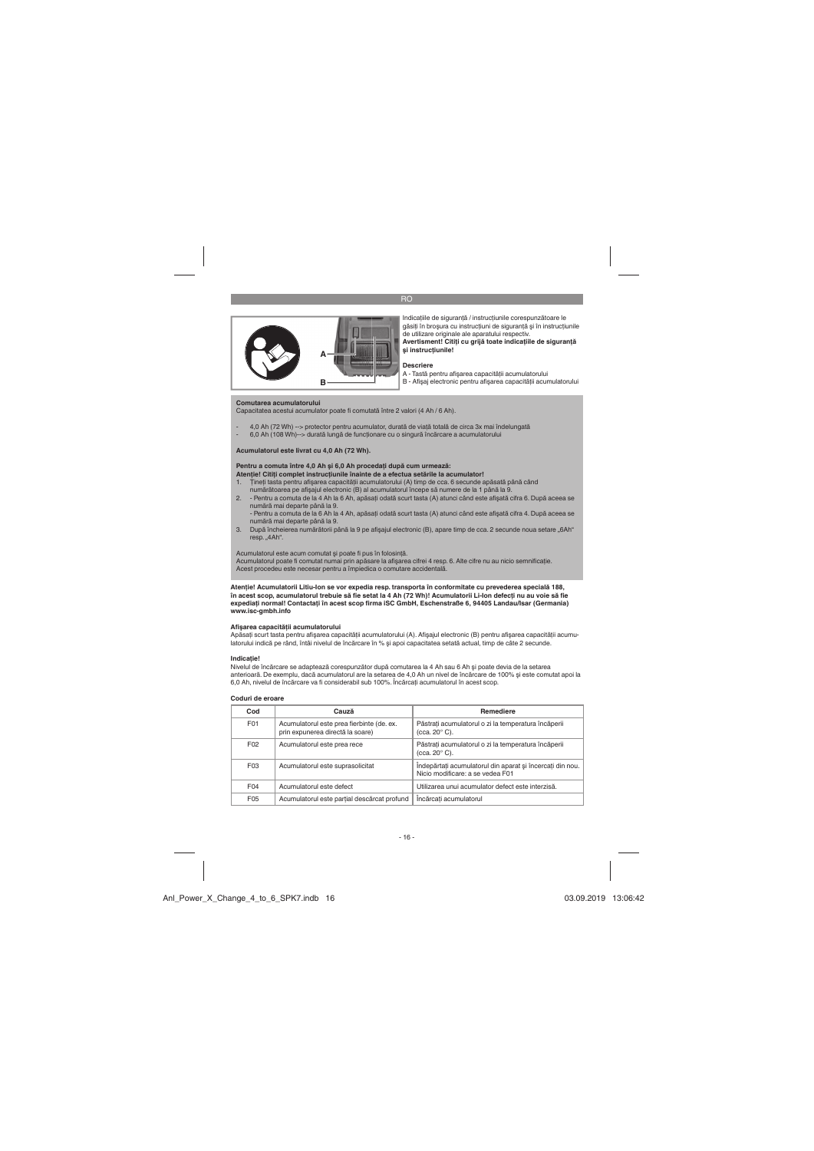

Indicațiile de siguranță / instrucțiunile corespunzătoare le<br>găsiți în broșura cu instrucțiuni de siguranță și în instrucțiunile<br>de utilizare originale ale aparatului respecitv.<br>**Avertisment! Critiț cu grijă toate indicați** 

## **Descriere**

A - Tastă pentru afişarea capacităţii acumulatorului B - Afişaj electronic pentru afişarea capacităţii acumulatorului

## **Comutarea acumulatorului**

**iui**<br>Jlator poate fi comutată între 2 valori (4 Ah / 6 Ah).

 $\Box$ 

- 4,0 Ah (72 Wh) --> protector pentru acumulator, durată de viaţă totală de circa 3x mai îndelungată - 6,0 Ah (108 Wh)--> durată lungă de funcţionare cu o singură încărcare a acumulatorului

## **Acumulatorul este livrat cu 4,0 Ah (72 Wh).**

- -
	-
- **Pentru a conuta între 4,0 An și 6,0 An procedați după cum urmează:<br>
Atențiel Citiți complet instrucțiunile înainte de a efectua setările la acumulator!<br>
1. Țineți tasta pentru afișarea capacității acumulatorului (A) timp**

Acumulatorul este acum comutat și poate fi pus în folosință.<br>Acumulatorul poate fi comutat numai prin apăsare la afișarea cifrei 4 resp. 6. Alte cifre nu au nicio semnificație.<br>Acest procedeu este necesar pentru a împiedic

Atenție! Acumulatorii Litiu-lon se vor expedia resp. transporta în conformitate cu prevederea specială 188,<br>în acest scop, acumulatorul trebuie să fie setat la 4 Ah (72 Wh)! Acumulatorii Li-lon defecți nu au voie să fie<br>ex **www.isc-gmbh.info**

## **Afişarea capacităţii acumulatorului**

Apăsați scurt tasta pentru afișarea capacității acumulatorului (A). Afișajul electronic (B) pentru afișarea capacității acumu·<br>Iatorului indică pe rând, întâi nivelul de încărcare în % și apoi capacitatea setată actual, ti

**Indicație!**<br>Nivelul de încărcare se adaptează corespunzător după comutarea la 4 Ah sau 6 Ah și poate devia de la setarea<br>anterioară. De exemplu, dacă acumulatorul are la setarea de 4,0 Ah un nivel de încărcare de 100% și

| Coduri de eroare |                                                                               |                                                                                               |
|------------------|-------------------------------------------------------------------------------|-----------------------------------------------------------------------------------------------|
| Cod              | Cauză                                                                         | Remediere                                                                                     |
| F <sub>01</sub>  | Acumulatorul este prea fierbinte (de. ex.<br>prin expunerea directă la soare) | Păstrati acumulatorul o zi la temperatura încăperii<br>(cca. 20° C).                          |
| F <sub>02</sub>  | Acumulatorul este prea rece                                                   | Păstrati acumulatorul o zi la temperatura încăperii<br>(cca. 20° C).                          |
| F <sub>03</sub>  | Acumulatorul este suprasolicitat                                              | Îndepărtați acumulatorul din aparat și încercați din nou.<br>Nicio modificare: a se vedea F01 |
| F <sub>04</sub>  | Acumulatorul este defect                                                      | Utilizarea unui acumulator defect este interzisă.                                             |
| F <sub>05</sub>  | Acumulatorul este partial descărcat profund                                   | Încărcati acumulatorul                                                                        |

- 16 -

Anl\_Power\_X\_Change\_4\_to\_6\_SPK7.indb 16 03.09.2019 13:06:42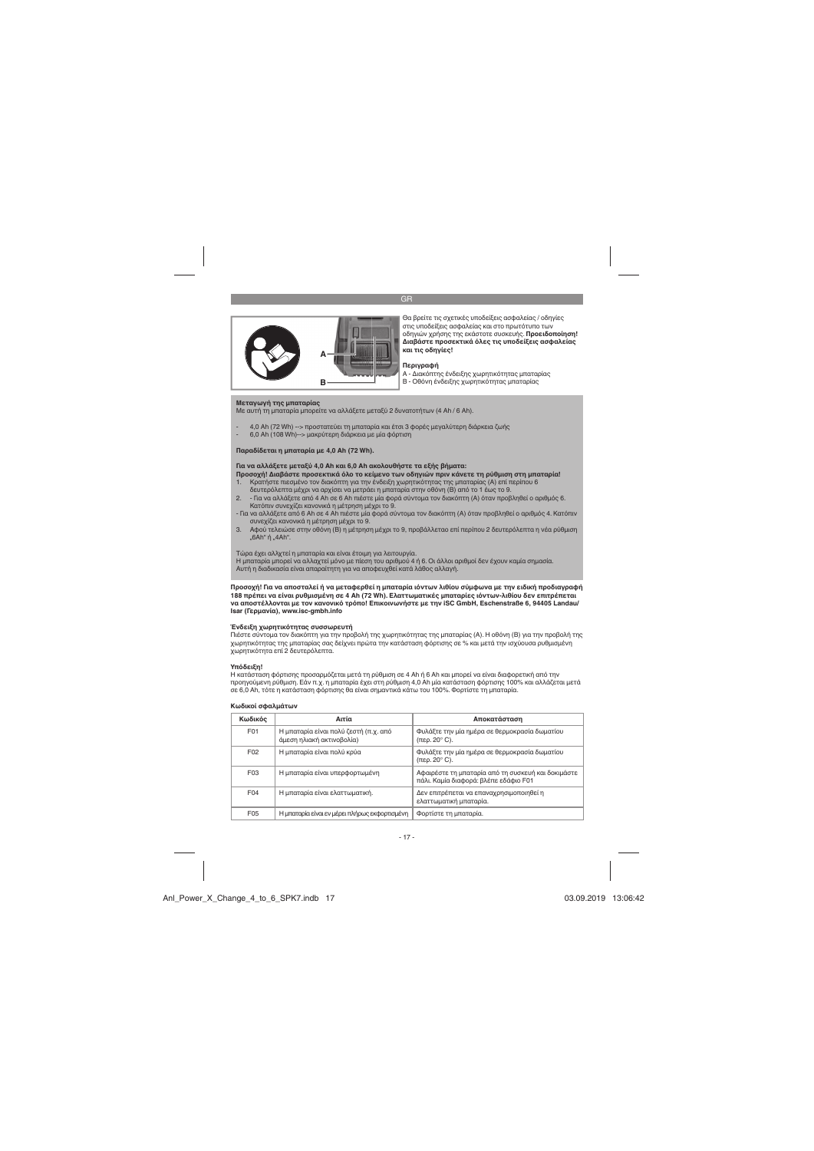GR



Θα βρείτε τις σχετικές υποδείξεις ασφαλείας / οδηγίες στις υποδείξεις ασφαλείας και στο πρωτότυπο των οδηγιών χρήσης της εκάστοτε συσκευής. **Προειδοποίηση! Διαβάστε προσεκτικά όλες τις υποδείξεις ασφαλείας και τις οδηγίες!**

**Περιγραφή**

A - Διακόπτης ένδειξης χωρητικότητας μπαταρίας B - Οθόνη ένδειξης χωρητικότητας μπαταρίας

**Μεταγωγή της μπαταρίας** Με αυτή τη μπαταρία μπορείτε να αλλάξετε μεταξύ 2 δυνατοτήτων (4 Ah / 6 Ah).

 $\Box$ 

- 4,0 Ah (72 Wh) --> προστατεύει τη μπαταρία και έτσι 3 φορές μεγαλύτερη διάρκεια ζωής - 6,0 Ah (108 Wh)--> μακρύτερη διάρκεια με μία φόρτιση

## **Παραδίδεται η μπαταρία με 4,0 Ah (72 Wh).**

- 
- 
- Γ**ια να αλλάξετε μεταξύ 4,0 Αh και 6,0 Αh ακολουθήστε τα εξής βήματα:**<br>Προσοχή! Διαβάστε προσεχτικά όλο το κείμενο των οδηγών πριν κάνετε τη ρύθμιση στη μπαταρία!<br>1. Κρατήστε πιεσμένο τον διακόπτη για την ένδειξη χωρητικό
- 

Τώρα έχει αλλχτεί η μπαταρία και είναι έτοιμη για λειτουργία.<br>Η μπαταρία μπορεί να αλλαχτεί μόνο με πίεση του αριθμού 4 ή 6. Οι άλλοι αριθμοί δεν έχουν καμία σημασία.<br>Αυτή η διαδικασία είναι απαραίτητη για να αποφευχθεί κ

Προσοχή! Για να αποσταλεί ή να μεταφερθεί η μπαταρία ιόντων λιθίου σύμφωνα με την ειδική προδιαγραφή<br>188 πρέπει να είναι ρυθμισμένη σε 4 Ah (72 Wh). Ελαττωματικές μπαταρίες ιόντων-λιθίου δεν επιτρέπεται<br>να αποστέλλονται μ

**Ένδειξη χωρητικότητας συσσωρευτή**<br>Πιέστε σύντομα τον διακόπτη για την προβολή της χωρητικότητας της μπαταρίας (Α). Η οθόνη (Β) για την προβολή της<br>χωρητικότητας της μπαταρίας σας δείχνει πρώτα την κατάσταση φόρτισης σε %

## **Υπόδειξη!**

Η κατάσταση φόρτισης προσαρμόζεται μετά τη ρύθμιση σε 4 Ah ή 6 Ah και μπορεί να είναι διαφορετική από την<br>προηγούμενη ρύθμιση. Εάν π.χ. η μπαταρία έχει στη ρύθμιση 4,0 Ah μία κατάσταση φόρτισης 100% και αλλάζεται μετά<br>σε

| Κωδικοί σφαλμάτων |  |
|-------------------|--|
|                   |  |

| Κωδικός         | Αιτία                                                              | Αποκατάσταση                                                                                |
|-----------------|--------------------------------------------------------------------|---------------------------------------------------------------------------------------------|
| F <sub>01</sub> | Η μπαταρία είναι πολύ ζεστή (π.χ. από<br>άμεση ηλιακή ακτινοβολία) | Φυλάξτε την μία ημέρα σε θερμοκρασία δωματίου<br>(περ. 20° C).                              |
| F <sub>02</sub> | Η μπαταρία είναι πολύ κρύα                                         | Φυλάξτε την μία ημέρα σε θερμοκρασία δωματίου<br>(περ. 20° C).                              |
| F <sub>03</sub> | Η μπαταρία είναι υπερφορτωμένη                                     | Αφαιρέστε τη μπαταρία από τη συσκευή και δοκιμάστε<br>πάλι. Καμία διαφορά: βλέπε εδάφιο F01 |
| F04             | Η μπαταρία είναι ελαττωματική.                                     | Δεν επιτρέπεται να επαναχρησιμοποιηθεί η<br>ελαττωματική μπαταρία.                          |
| F <sub>05</sub> | Η μπαταρία είναι εν μέρει πλήρως εκφορτισμένη                      | Φορτίστε τη μπαταρία.                                                                       |

- 17 -

Anl\_Power\_X\_Change\_4\_to\_6\_SPK7.indb 17 03.09.2019 13:06:42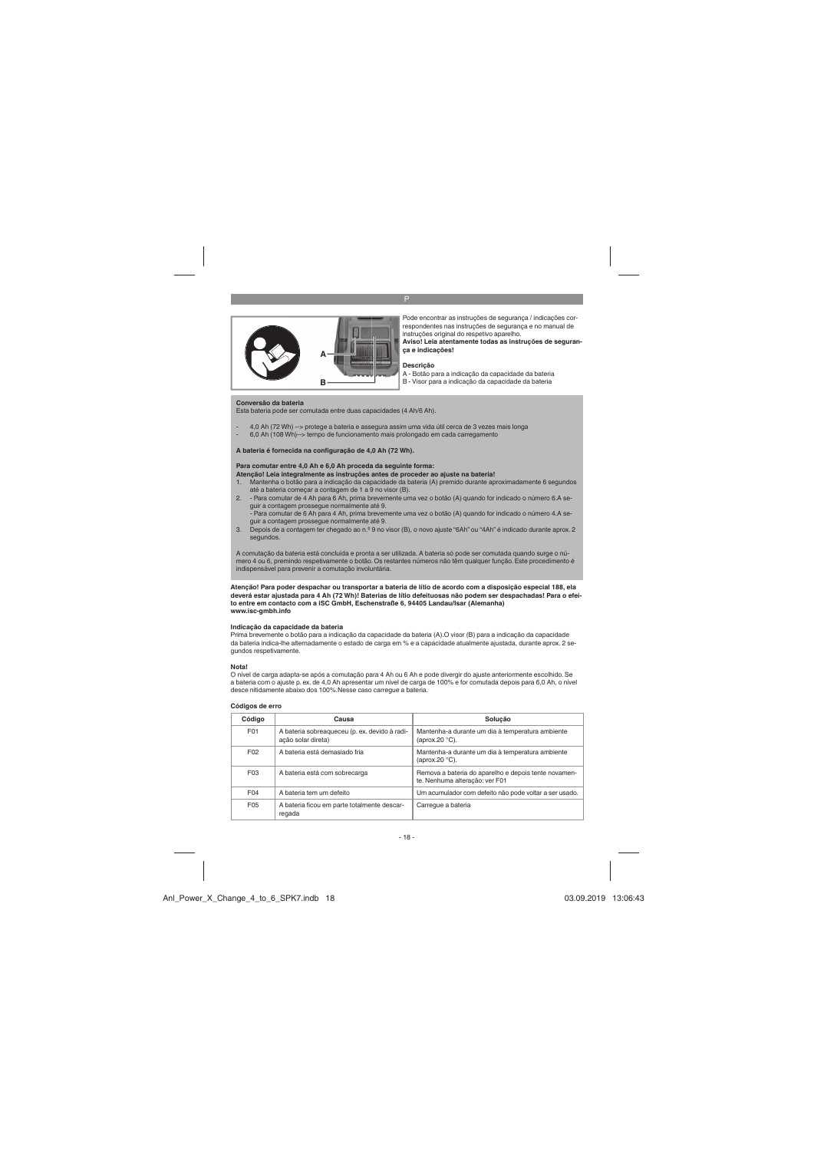

P

Pode encontrar as instruções de segurança / indicações cor-<br>respondentes nas instruções de segurança e no manual de<br>instruções original do respetivo aparelho.<br>**Aviso! Leia atentamente todas as instruções de segurança e indicações!**

**Descrição**

A - Botão para a indicação da capacidade da bateria B - Visor para a indicação da capacidade da bateria

# **Conversão da bateria**

ri**a**<br>r comutada entre duas capacidades (4 Ah/6 Ah).

- 4,0 Ah (72 Wh) --> protege a bateria e assegura assim uma vida útil cerca de 3 vezes mais longa 6,0 Ah (108 Wh)--> tempo de funcionamento mais prolongado em cada carregamento
- A bateria é fornecida na configuração de 4,0 Ah (72 Wh).

- 
- 
- Para comutar entre 4,0 Ah e 5,0 Ah proceda da seguinte forma:<br>Atenção! Leia integralmente as instruções antes de proceder ao ajuste na bateria!<br>1. Mantenha o botão para a indicação da capacidade da bateria (A) premido dura
- segundos.

A comutação da bateria está concluída e pronta a ser utilizada. A bateria só pode ser comutada quando surge o nú<br>mero 4 ou 6, premindo respetivamente o botão. Os restantes números não têm qualquer função. Este procedimento

Atenção! Para poder despachar ou transportar a bateria de lítio de acordo com a disposição especial 188, ela<br>deverá estar ajustada para 4 Ah (72 Wh)! Baterias de lítio defeituosas não podem ser despachadas! Para o efei-<br>to **www.isc-gmbh.info**

Indicação da capacidade da bateria<br>Prima brevemente o bolão para a indicação da capacidade da bateria (A).O visor (B) para a indicação da capacidade<br>da bateria indica-lhe alternadamente o estado de carga em % e a capacidad

## **Nota!**

O nível de carga adapta-se após a comutação para 4 Ah ou 6 Ah e pode divergir do ajuste anteriormente escolhido. Se<br>a bateria com o ajuste p. ex. de 4,0 Ah apresentar um nível de carga de 100% e for comutada depois para 6,

| Códigos de erro |  |
|-----------------|--|

| .               |                                                                     |                                                                                        |
|-----------------|---------------------------------------------------------------------|----------------------------------------------------------------------------------------|
| Código          | Causa                                                               | Solucão                                                                                |
| F <sub>01</sub> | A bateria sobreaqueceu (p. ex. devido à radi-<br>ação solar direta) | Mantenha-a durante um dia à temperatura ambiente<br>(aprox.20 $°C$ ).                  |
| F <sub>02</sub> | A bateria está demasiado fria                                       | Mantenha-a durante um dia à temperatura ambiente<br>(aprox.20 $°C$ ).                  |
| F <sub>03</sub> | A bateria está com sobrecarga                                       | Remova a bateria do aparelho e depois tente novamen-<br>te. Nenhuma alteração: ver F01 |
| F04             | A bateria tem um defeito                                            | Um acumulador com defeito não pode voltar a ser usado.                                 |
| F <sub>05</sub> | A bateria ficou em parte totalmente descar-<br>regada               | Carreque a bateria                                                                     |

- 18 -

Anl\_Power\_X\_Change\_4\_to\_6\_SPK7.indb 18 03.09.2019 13:06:43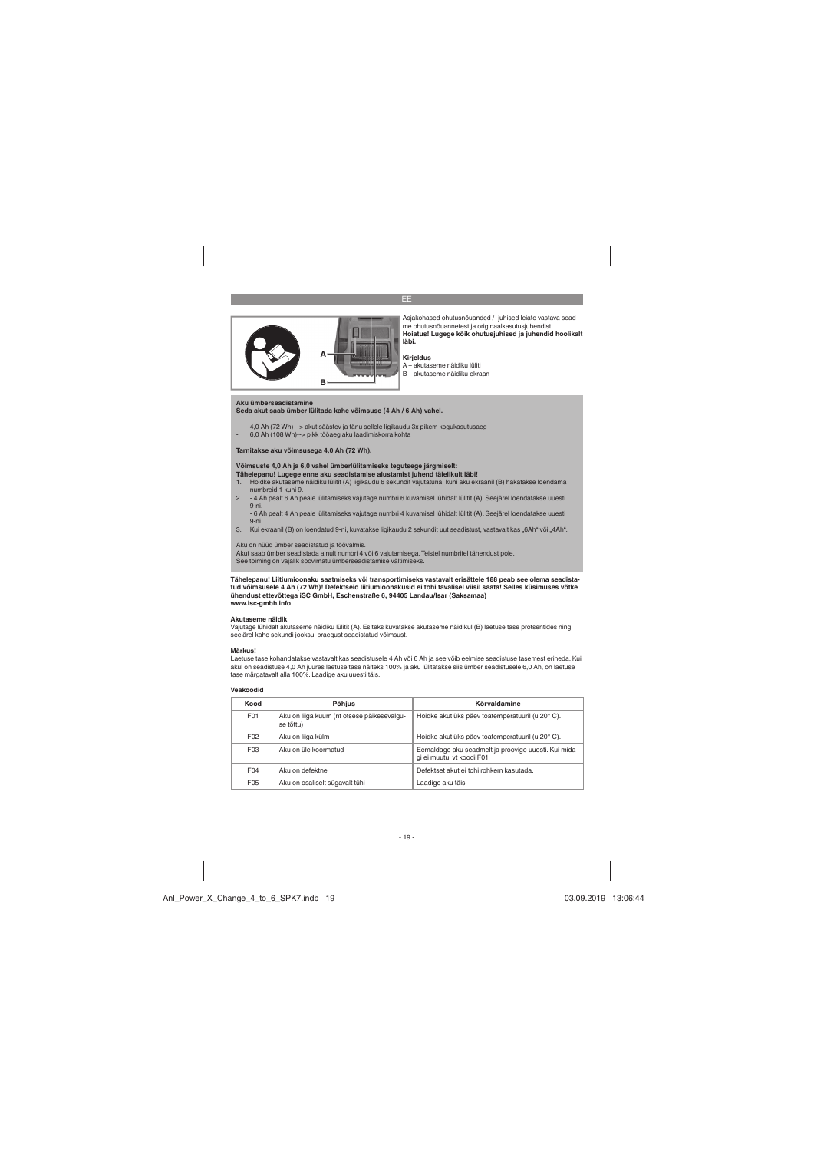EE



akohased ohutusnõuanded / -juhised leiate vastava seadme ohutusnõuannetest ja originaalkasutusjuhendist. **Hoiatus! Lugege kõik ohutusjuhised ja juhendid hoolikalt läbi.**

**Kirjeldus** A – akutaseme näidiku lüliti B – akutaseme näidiku ekraan

**Aku ümberseadistamine Seda akut saab ümber lülitada kahe võimsuse (4 Ah / 6 Ah) vahel.**

## - 4,0 Ah (72 Wh) --> akut säästev ja tänu sellele ligikaudu 3x pikem kogukasutusaeg - 6,0 Ah (108 Wh)--> pikk tööaeg aku laadimiskorra kohta

**Tarnitakse aku võimsusega 4,0 Ah (72 Wh).**

- Võimsuste 4,0 Ah ja 6,0 vahel ümberlülitamiseks tegutsege järgmiselt:<br>Tähelepanu! Lugege enne aku seadistamise alustamist juhend täielikult läbi!<br>1. Hoidke akutasene näidiku lülitit (A) ligikaudu 6 sekundit vajutatuna, kun
- 2. 4 Ah pealt 6 Ah peale lülitamiseks vajutage numbri 6 kuvamisel lühidalt lülitit (A). Seejärel loendatakse uuesti
- 9-ni.<br>- 6 Ah pealt 4 Ah peale lülitamiseks vajutage numbri 4 kuvamisel lühidalt lülitit (A). Seejärel loendatakse uuesti<br>9-ni. 9-ni. Kui ekraanil (B) on loendatud 9-ni, kuvatakse ligikaudu 2 sekundit uut seadistust, vast
- 
- Aku on nüüd ümber seadistatud ja töövalmis.<br>Akut saab ümber seadistada ainult numbri 4 või 6 vajutamisega. Teistel numbritel tähendust pole.<br>See toiming on vajalik soovimatu ümberseadistamise vältimiseks.

Tähelepanu! Liitiumioonaku saatmiseks või transportimiseks vastavalt erisättele 188 peab see olema seadista-<br>tud võimsusele 4 Ah (72 Wh)! Defektseid liitiumioonakusid ei tohi tavalisel viisil saata! Selles küsimuses võtke<br>

## **www.isc-gmbh.info Akutaseme näidik**

Vajutage lühidalt akutaseme näidiku lülitit (A). Esiteks kuvatakse akutaseme näidikul (B) laetuse tase protsentides ning seejärel kahe sekundi jooksul praegust seadistatud võimsust.

## **Märkus!**

Laetuse tase kohandatakse vastavalt kas seadistusele 4 Ah või 6 Ah ja see võib eelmise seadistuse tasemest erineda. Kui<br>akul on seadistuse 4,0 Ah juures laetuse tase näiteks 100% ja aku lülitatakse siis ümber seadistusele

## **Veakoodid**

| Kood            | Põhius                                                  | Kõrvaldamine                                                                      |
|-----------------|---------------------------------------------------------|-----------------------------------------------------------------------------------|
| F <sub>01</sub> | Aku on liiga kuum (nt otsese päikesevalgu-<br>se tõttu) | Hoidke akut üks päev toatemperatuuril (u 20°C).                                   |
| F <sub>02</sub> | Aku on liiga külm                                       | Hoidke akut üks päev toatemperatuuril (u 20°C).                                   |
| F <sub>03</sub> | Aku on üle koormatud                                    | Eemaldage aku seadmelt ja proovige uuesti. Kui mida-<br>gi ei muutu: vt koodi F01 |
| F <sub>04</sub> | Aku on defektne                                         | Defektset akut ei tohi rohkem kasutada.                                           |
| F <sub>05</sub> | Aku on osaliselt sügavalt tühi                          | Laadige aku täis                                                                  |

- 19 -

Anl\_Power\_X\_Change\_4\_to\_6\_SPK7.indb 19 03.09.2019 13:06:44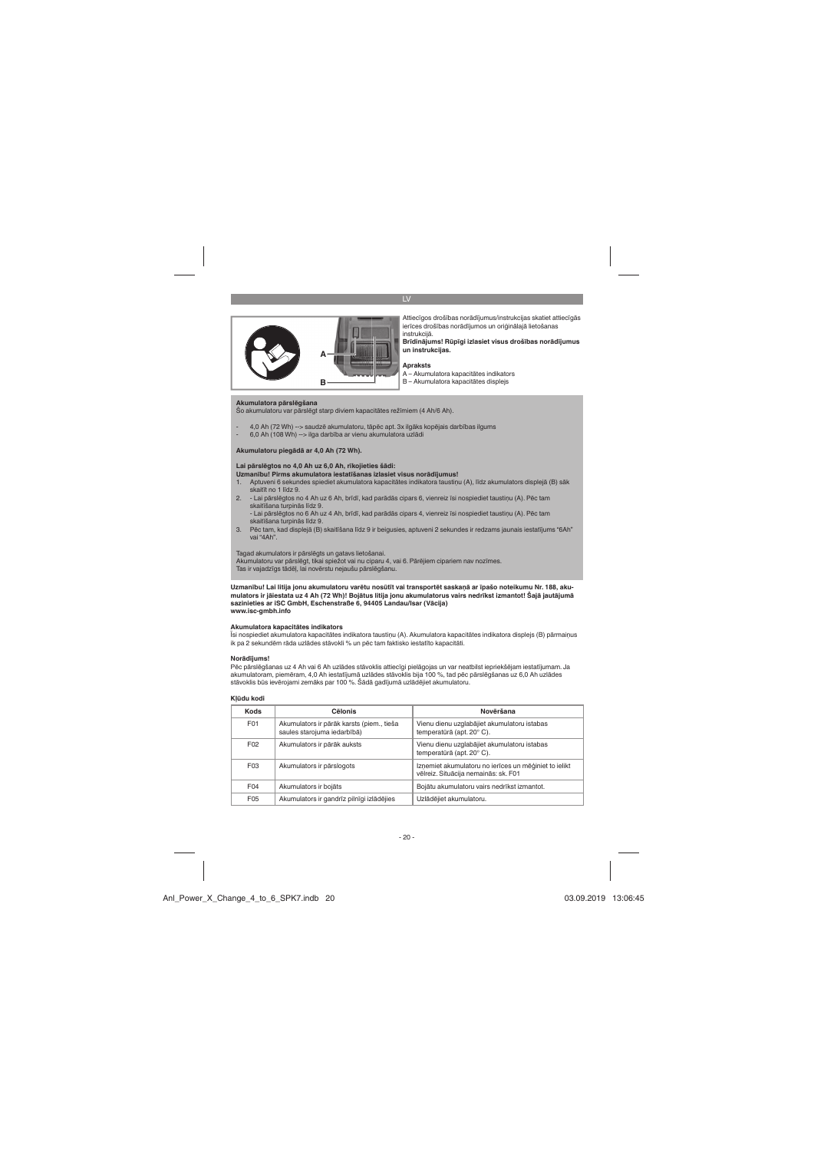LV



- Attiecīgos drošības norādījumus/instrukcijas skatiet attiecīgās<br>ierīces drošības norādījumos un oriģinālajā lietošanas<br>instrukcijā.<br>**Brīdinājums! Rūpīgi izlasiet visus drošības norādījumus**<br>**un instrukcijas.**
- 
- **Apraksts** A – Akumulatora kapacitātes indikators B – Akumulatora kapacitātes displejs

**Akumulatora pārslēgšana sana**<br>rslēgt starp diviem kapacitātes režīmiem (4 Ah/6 Ah).

- 4,0 Ah (72 Wh) --> saudzē akumulatoru, tāpēc apt. 3x ilgāks kopējais darbības ilgums 6,0 Ah (108 Wh) --> ilga darbība ar vienu akumulatora uzlādi
- **Akumulatoru piegādā ar 4,0 Ah (72 Wh).**

- -
- Lai pārslēgtos no 4,0 Ah uz 6,0 Ah, rīkojieties šādi:<br>
Latmanību Pirms akumulatora iestatīšanas izlasiet visus norādījumus!<br>
1. Aptuveni 6 sekundes spiediet akumulatora kapacitātes indikatora taustiņu (A), līdz akumulators
- 

Tagad akumulators ir pārslēgts un gatavs lietošanai.<br>Akumulatoru var pārslēgt, tikai spiežot vai nu ciparu 4, vai 6. Pārējiem cipariem nav nozīmes.<br>Tas ir vajadzīgs tādēļ, lai novērstu nejaušu pārslēgšanu.

Uzmanību! Lai litija jonu akumulatoru varētu nosūtīt vai transportēt saskaņā ar īpašo noteikumu Nr. 188, aku-<br>mulators ir jāiestata uz 4 Ah (72 Wh)! Bojātus litija jonu akumulatorus vairs nedrīkst izmantot! Šajā jautājumā<br> **www.isc-gmbh.info**

**Akumulatora kapacitātes indikators**<br>Īsi nospiediet akumulatora kapacitātes indikatora taustiņu (A). Akumulatora kapacitātes indikatora displejs (B) pārmaiņus<br>ik pa 2 sekundēm rāda uzlādes stāvokli % un pēc tam faktisko ie

## **Norādījums!**

Pēc pārslēgšanas uz 4 Ah vai 6 Ah uzlādes stāvoklis attiecīgi pielāgojas un var neatbilst iepriekšējam iestatījumam. Ja<br>akumulatoram, piemēram, 4,0 Ah iestatījumā uzlādes stāvoklis bija 100 %, tad pēc pārslēgšanas uz 6,0 A

**Kļūdu kodi**

| Kods            | <b>Cēlonis</b>                                                           | Novēršana                                                                                     |
|-----------------|--------------------------------------------------------------------------|-----------------------------------------------------------------------------------------------|
| F <sub>01</sub> | Akumulators ir pārāk karsts (piem., tieša<br>saules starojuma iedarbībā) | Vienu dienu uzglabājiet akumulatoru istabas<br>temperatūrā (apt. 20° C).                      |
| F <sub>02</sub> | Akumulators ir pārāk auksts                                              | Vienu dienu uzglabājiet akumulatoru istabas<br>temperatūrā (apt. 20° C).                      |
| F <sub>03</sub> | Akumulators ir pārslogots                                                | Iznemiet akumulatoru no ierīces un mēģiniet to ielikt<br>vēlreiz. Situācija nemainās: sk. F01 |
| F <sub>04</sub> | Akumulators ir bojāts                                                    | Bojātu akumulatoru vairs nedrīkst izmantot.                                                   |
| F <sub>05</sub> | Akumulators ir gandrīz pilnīgi izlādējies                                | Uzlādējiet akumulatoru.                                                                       |

- 20 -

Anl\_Power\_X\_Change\_4\_to\_6\_SPK7.indb 20 03.09.2019 13:06:45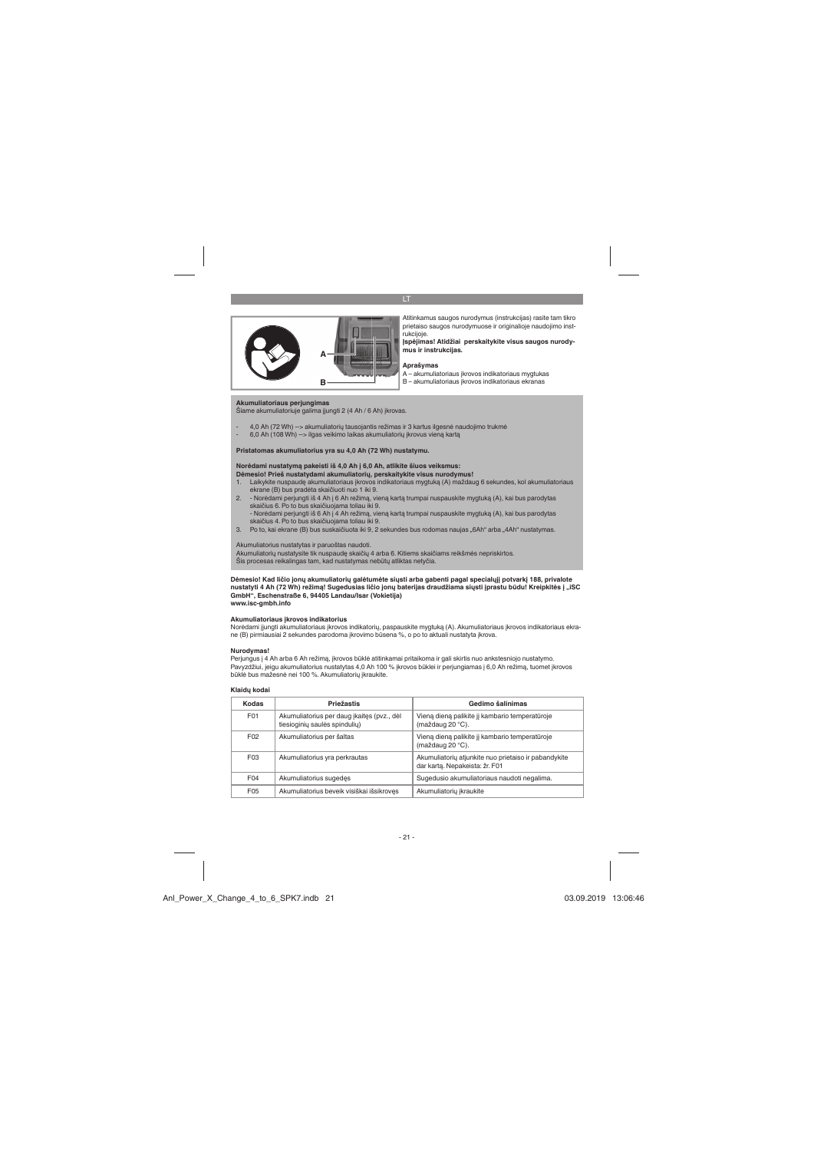

Attinkamus saugos nurodymus (instrukcijas) rasite tam tikro<br>prietaiso saugos nurodymuose ir originalioje naudojimo instrukcijoje.<br>|spējimas! Attidžiai perskaitykite visus saugos nurody-<br>|spējimas! Attidžijas.

**Aprašymas**

A – akumuliatoriaus įkrovos indikatoriaus mygtukas B – akumuliatoriaus įkrovos indikatoriaus ekranas

## **Akumuliatoriaus perjungimas** Šiame akumuliatoriuje galima įjungti 2 (4 Ah / 6 Ah) įkrovas.

- 4,0 Ah (72 Wh) --> akumuliatorių tausojantis režimas ir 3 kartus ilgesnė naudojimo trukmė - 6,0 Ah (108 Wh) --> ilgas veikimo laikas akumuliatorių įkrovus vieną kartą

## **Pristatomas akumuliatorius yra su 4,0 Ah (72 Wh) nustatymu.**

- 
- 
- **Norédami nustatymą pakeisti iš 4,0 Ah į 6,0 Ah, atliktė šiuos veiksmus:<br>Dėmesio ! Prieš nustatydami akumuliatoriaus įkrovos indikatoriaus nurodymus!**<br>1. Laikykite nuspaudę akumuliatoriaus įkrovos indikatoriaus mygtuką (A)
	-

Akumuliatorius nustatytas ir paruoštas naudoti.<br>Akumuliatorių nustatysite tik nuspaudę skaičių 4 arba 6. Kitiems skaičiams reikšmės nepriskirtos.<br>Šis procesas reikalingas tam, kad nustatymas nebūtų atliktas netyčia.

Dėmesio! Kad ličio jonų akumuliatorių galėtumėte siųsti arba gabenti pagal specialųjį potvarkį 188, privalote<br>nustatyti 4 Ah (72 Wh) režimą! Sugedusias ličio jonų baterijas draudžiama siųsti įprastu būdu! Kreipkitės į "ISC

**Akumuliatoriaus įkrovos indikatorius**<br>Norėdami įjungti akumuliatoriaus įkrovos indikatorių, paspauskite mygtuką (A). Akumuliatoriaus įkrovos indikatoriaus ekra-<br>ne (B) pirmiausiai 2 sekundes parodoma įkrovimo būsena %, o

## **Nurodymas!**

Perjungus į 4 Ah arba 6 Ah režimą, įkrovos būklė atitinkamai pritaikoma ir gali skirtis nuo ankstesniojo nustatymo.<br>Pavyzdžiui, jeigu akumuliatorius nustatytas 4,0 Ah 100 % įkrovos būklei ir perjungiamas į 6,0 Ah režimą, t

## **Klaidų kodai**

| Kodas           | Priežastis                                                                  | Gedimo šalinimas                                                                       |
|-----------------|-----------------------------------------------------------------------------|----------------------------------------------------------------------------------------|
| F <sub>01</sub> | Akumuliatorius per daug įkaitęs (pvz., dėl<br>tiesioginių saulės spindulių) | Vieną dieną palikite jį kambario temperatūroje<br>(maždaug 20 °C).                     |
| F <sub>02</sub> | Akumuliatorius per šaltas                                                   | Vieną dieną palikite jį kambario temperatūroje<br>(maždaug 20 °C).                     |
| F <sub>03</sub> | Akumuliatorius yra perkrautas                                               | Akumuliatorių atjunkite nuo prietaiso ir pabandykite<br>dar karta, Nepakeista; žr. F01 |
| F <sub>04</sub> | Akumuliatorius sugedes                                                      | Sugedusio akumuliatoriaus naudoti negalima.                                            |
| F <sub>05</sub> | Akumuliatorius beveik visiškai išsikroves                                   | Akumuliatorių įkraukite                                                                |

- 21 -

Anl\_Power\_X\_Change\_4\_to\_6\_SPK7.indb 21 03.09.2019 13:06:46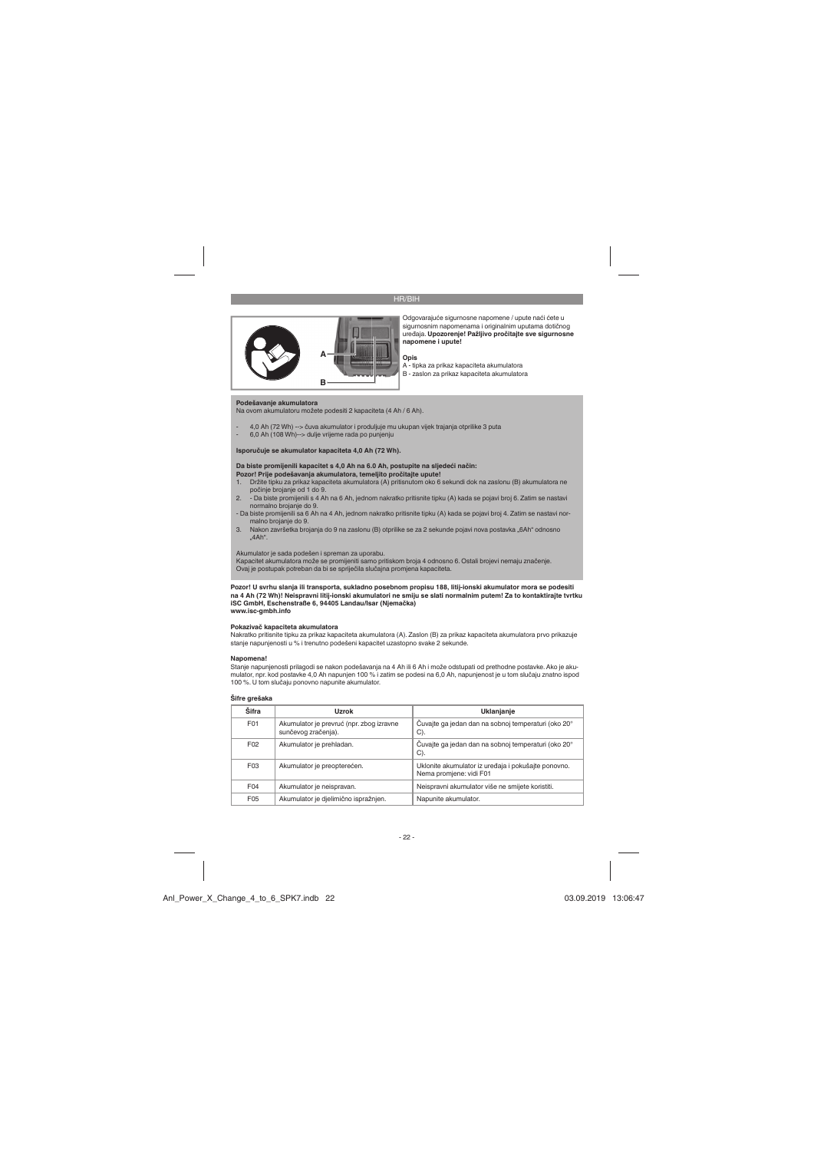HR/BIH



Odgovarajuće sigurnosne napomene / upute naći ćete u sigurnosnim napomenama i originalnim uputama dotičnog uređaja. **Upozorenje! Pažljivo pročitajte sve sigurnosne napomene i upute! Opis**

A - tipka za prikaz kapaciteta akumulatora B - zaslon za prikaz kapaciteta akumulatora

**Podešavanje akumulatora** Na ovom akumulatoru možete podesiti 2 kapaciteta (4 Ah / 6 Ah).

- 4,0 Ah (72 Wh) --> čuva akumulator i produljuje mu ukupan vijek trajanja otprilike 3 puta 6,0 Ah (108 Wh)--> dulje vrijeme rada po punjenju
- **Isporučuje se akumulator kapaciteta 4,0 Ah (72 Wh).**

 $\Box$ 1

- 
- 
- Da biste promijenili kapacitet s 4,0 Ah na 6.0 Ah, postupite na sljedeći način:<br>Pozor! Prije podešavanja akumulatora, temeljito pročitajte upute!<br>1. Držite tipku za prikaz kapaciteta akumulatora (A) pritisnutom oko 6 sekun
- 

Akumulator je sada podešen i spreman za uporabu.<br>Kapacitet akumulatora može se promijeniti samo pritiskom broja 4 odnosno 6. Ostali brojevi nemaju značenje.<br>Ovaj je postupak potreban da bi se spriječila slučajna promjena k

# Pozor! U svrhu slanja ili transporta, sukladno posebnom propisu 188, litij-ionski akumulator mora se podesiti<br>na 4 Ah (72 Wh)! Neispravni litij-ionski akumulatori ne smiju se slati normalnim putem! Za to kontaktirajte tvrt

**Pokazivač kapaciteta akumulatora**<br>Nakratko pritisnite tipku za prikaz kapaciteta akumulatora (A). Zaslon (B) za prikaz kapaciteta akumulatora prvo prikazuje<br>stanje napunjenosti u % i trenutno podešeni kapacitet uzastopno

**Napomena!**<br>Stanje napunjenosti prilagodi se nakon podešavanja na 4 Ah ili 6 Ah i može odstupati od prethodne postavke. Ako je aku-<br>mulator, npr. kod postavke 4,0 Ah napunjen 100 % i zatim se podesi na 6,0 Ah, napunjenost

**Šifre grešaka**

| Šifra           | Uzrok                                                           | Uklanjanje                                                                     |
|-----------------|-----------------------------------------------------------------|--------------------------------------------------------------------------------|
| F <sub>01</sub> | Akumulator je prevruć (npr. zbog izravne<br>sunčevog zračenja). | Čuvajte ga jedan dan na sobnoj temperaturi (oko 20°<br>$C$ ).                  |
| F <sub>02</sub> | Akumulator je prehladan.                                        | Čuvajte ga jedan dan na sobnoj temperaturi (oko 20°<br>$C$ ).                  |
| F <sub>03</sub> | Akumulator je preopterećen.                                     | Uklonite akumulator iz uređaja i pokušajte ponovno.<br>Nema promjene: vidi F01 |
| F <sub>04</sub> | Akumulator je neispravan.                                       | Neispravni akumulator više ne smijete koristiti.                               |
| F <sub>05</sub> | Akumulator je djelimično ispražnjen.                            | Napunite akumulator.                                                           |

- 22 -

Anl\_Power\_X\_Change\_4\_to\_6\_SPK7.indb 22 03.09.2019 13:06:47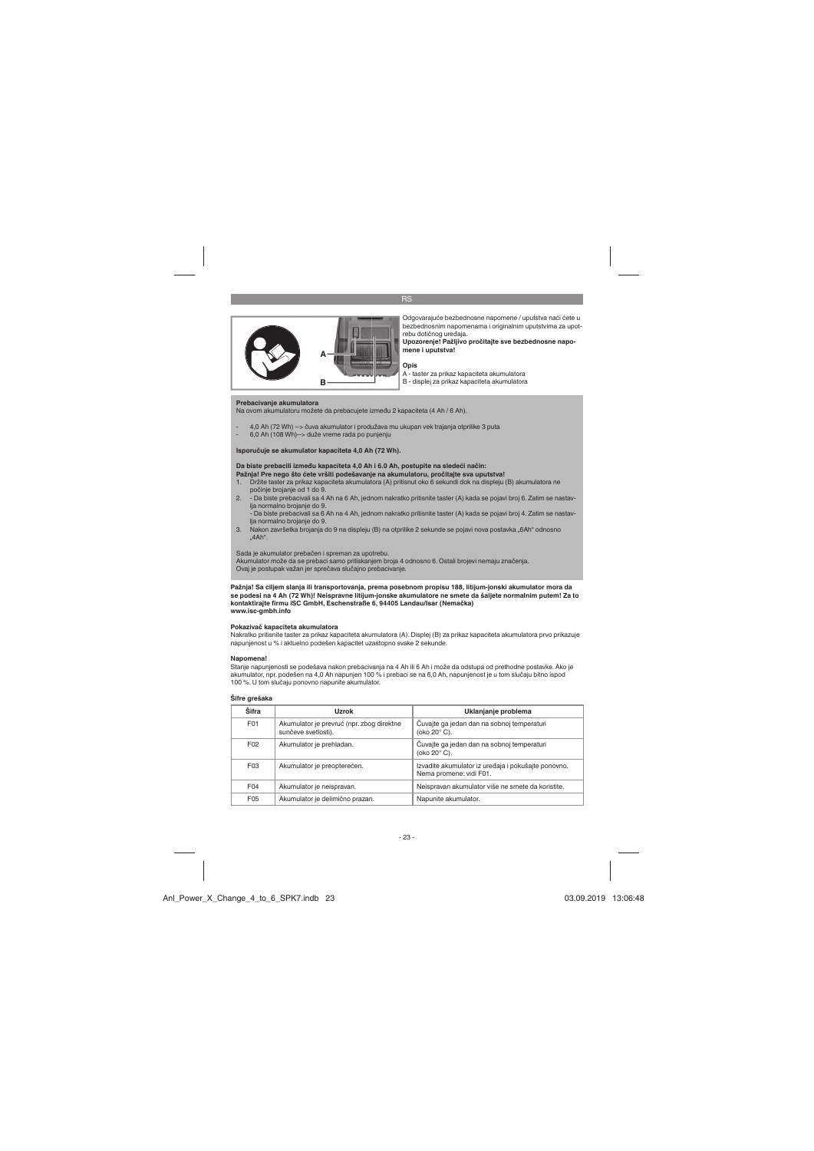RS



Odgovarajuće bezbednosne napomene / uputstva naći ćete u bezbednosnim napomenama i originalnim uputstvima za upot-rebu dotičnog uređaja. **Upozorenje! Pažljivo pročitajte sve bezbednosne napomene i uputstva!**

**Opis** A - taster za prikaz kapaciteta akumulatora B - displej za prikaz kapaciteta akumulatora

**Prebacivanje akumulatora** Na ovom akumulatoru možete da prebacujete između 2 kapaciteta (4 Ah / 6 Ah).

- 4,0 Ah (72 Wh) --> čuva akumulator i produžava mu ukupan vek trajanja otprilike 3 puta - 6,0 Ah (108 Wh)--> duže vreme rada po punjenju

## **Isporučuje se akumulator kapaciteta 4,0 Ah (72 Wh).**

- 
- Da biste prebacili između kapaciteta 4,0 Ah i 6.0 Ah, postupite na sledeći način:<br>Pažnjal Pre nego što ćete vršiti podešavanje na akumulatoru, pročitajte sva uputstva!<br>1. Držite taster za prikaz kapaciteta akumulatora (A)
- 

Sada je akumulator prebačen i spreman za upotrebu.<br>Akumulator može da se prebaci samo pritiskanjem broja 4 odnosno 6. Ostali brojevi nemaju značenja<br>Ovaj je postupak važan jer sprečava slučajno prebacivanje.

Pažnja! Sa ciljem slanja ili transportovanja, prema posebnom propisu 188, litijum-jonski akumulator mora da<br>se podesi na 4 Ah (72 Wh)! Neispravne litijum-jonske akumulatore ne smete da šaljete normalnim putem! Za to<br>kontak

## **Pokazivač kapaciteta akumulatora**

Nakratko pritisnite taster za prikaz kapaciteta akumulatora (A). Displej (B) za prikaz kapaciteta akumulatora prvo prikazuje napunjenost u % i aktuelno podešen kapacitet uzastopno svake 2 sekunde.

**Napomena!**<br>Stanje napunjenosti se podešava nakon prebacivanja na 4 Ah ili 6 Ah i može da odstupa od prethodne postavke. Ako je<br>akumulator, npr. podešen na 4,0 Ah napunjen 100 % i prebaci se na 6,0 Ah, napunjenost je u tom

**Šifre grešaka**

| Šifra           | Uzrok                                                            | Uklanjanje problema                                                            |
|-----------------|------------------------------------------------------------------|--------------------------------------------------------------------------------|
| F <sub>01</sub> | Akumulator je prevruć (npr. zbog direktne<br>sunčeve svetlosti). | Cuvajte ga jedan dan na sobnoj temperaturi<br>(oko 20°C).                      |
| F <sub>02</sub> | Akumulator je prehladan.                                         | Čuvajte ga jedan dan na sobnoj temperaturi<br>(oko 20°C).                      |
| F <sub>03</sub> | Akumulator je preopterećen.                                      | Izvadite akumulator iz uređaja i pokušajte ponovno.<br>Nema promene: vidi F01. |
| F <sub>04</sub> | Akumulator je neispravan.                                        | Neispravan akumulator više ne smete da koristite.                              |
| F <sub>05</sub> | Akumulator je delimično prazan.                                  | Napunite akumulator.                                                           |

- 23 -

Anl\_Power\_X\_Change\_4\_to\_6\_SPK7.indb 23 03.09.2019 13:06:48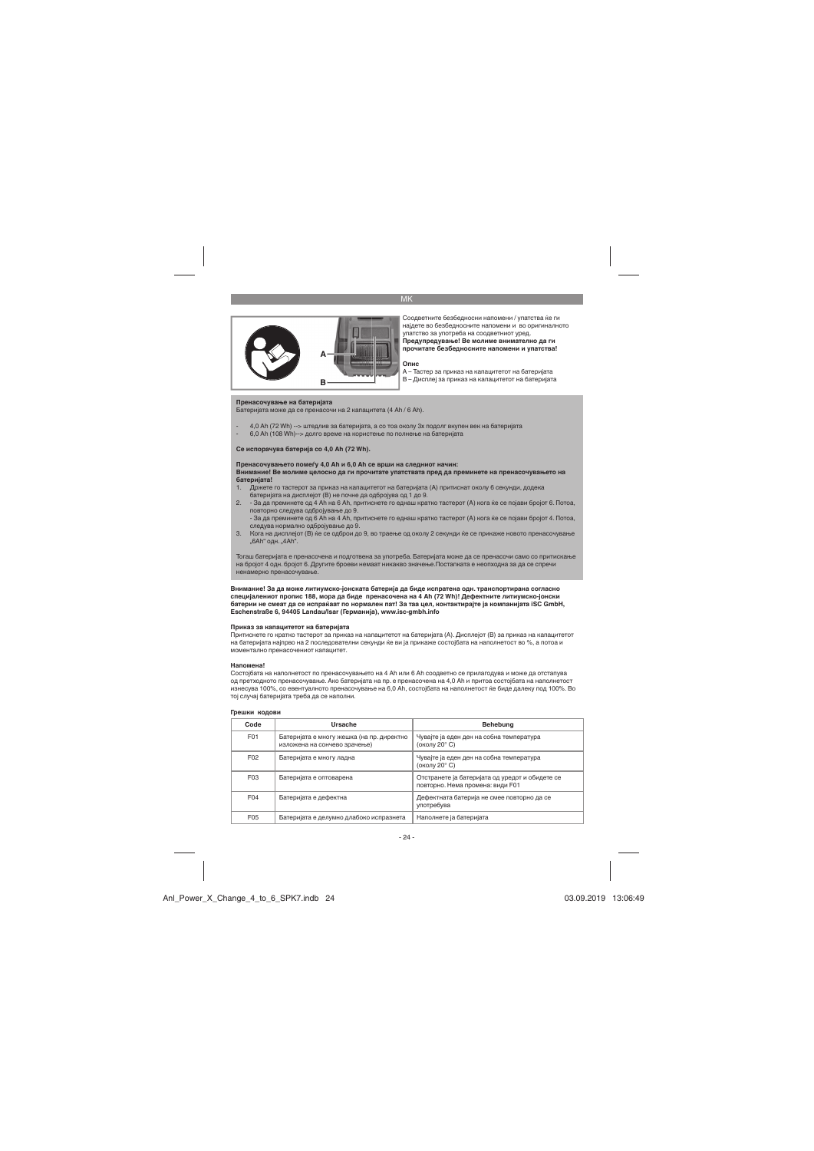MK



Соодветните безбедносни напомени / упатства ќе ги<br>најдете во безбедносните напомени и во оригиналнотс<br>упатство за употреба на соодветниот уред.<br>**Предупредување! Ве молиме вниммени и упатства!**<br>**прочитате безбедносните нап** 

**Опис** A – Тастер за приказ на капацитетот на батеријата B – Дисплеј за приказ на капацитетот на батеријата

## **Пренасочување на батеријата** Батеријата може да се пренасочи на 2 капацитета (4 Ah / 6 Ah).

- 4,0 Ah (72 Wh) --> штедлив за батеријата, а со тоа околу 3x подолг вкупен век на батеријата - 6,0 Ah (108 Wh)--> долго време на користење по полнење на батеријата

## **Се испорачува батерија со 4,0 Ah (72 Wh).**

- 
- Пренасочувањето помеѓу 4,0 Ah и 6,0 Ah се врши на следниот начин:<br>Внимание! Ве молиме целосно да ги прочитате упатствата пред да преминете на пренасочувањето на<br>батеријата!<br>1. Држете го тастерот за приказ на капацитетот
- 

Тогаш батеријата е пренасочена и подготвена за употреба. Батеријата може да се пренасочи само со притискање<br>на бројот 4 одн. бројот 6. Другите броеви немаат никакво значење.Постапката е неопходна за да се спречи<br>ненамерно

Внимание! За да може литиумско-јонската батерија да биде испратена одн. транспортирана согласно<br>специјалениот пропис 188, мора да биде пренасочена на 4 Ah (72 Wh)! Дефектните литиумско-јонски<br>батерии не смеат да се испра

**Приназ за капацитетот на батеријата**<br>Притиснете го кратко тастерот за приказ на капацитетот на батеријата (A). Дисплејот (B) за приказ на капацитетот<br>на батеријата најпрво на 2 последователни секунди ќе ви ја прикаже сос

**Напомена!**<br>Состојбата на наполнетост по пренасочувањето на 4 Ah или 6 Ah соодветно се прилагодува и може да отстапува<br>од претходното пренасочување. Ако батеријата на пр. е пренасочена на 4,0 Ah и притоа состојбата на нап

| Грешки кодови   |                                                                           |                                                                                     |
|-----------------|---------------------------------------------------------------------------|-------------------------------------------------------------------------------------|
| Code            | Ursache                                                                   | Behebung                                                                            |
| F <sub>01</sub> | Батеријата е многу жешка (на пр. директно<br>изложена на сончево зрачење) | Чувајте ја еден ден на собна температура<br>(околу 20° С)                           |
| F <sub>02</sub> | Батеријата е многу ладна                                                  | Чувајте ја еден ден на собна температура<br>(околу 20° С)                           |
| F <sub>03</sub> | Батеријата е оптоварена                                                   | Отстранете ја батеријата од уредот и обидете се<br>повторно. Нема промена: види F01 |
| F <sub>04</sub> | Батеријата е дефектна                                                     | Дефектната батерија не смее повторно да се<br>употребува                            |
| F05             | Батеријата е делумно длабоко испразнета                                   | Наполнете ја батеријата                                                             |

 $-24-$ 

Anl\_Power\_X\_Change\_4\_to\_6\_SPK7.indb 24 03.09.2019 13:06:49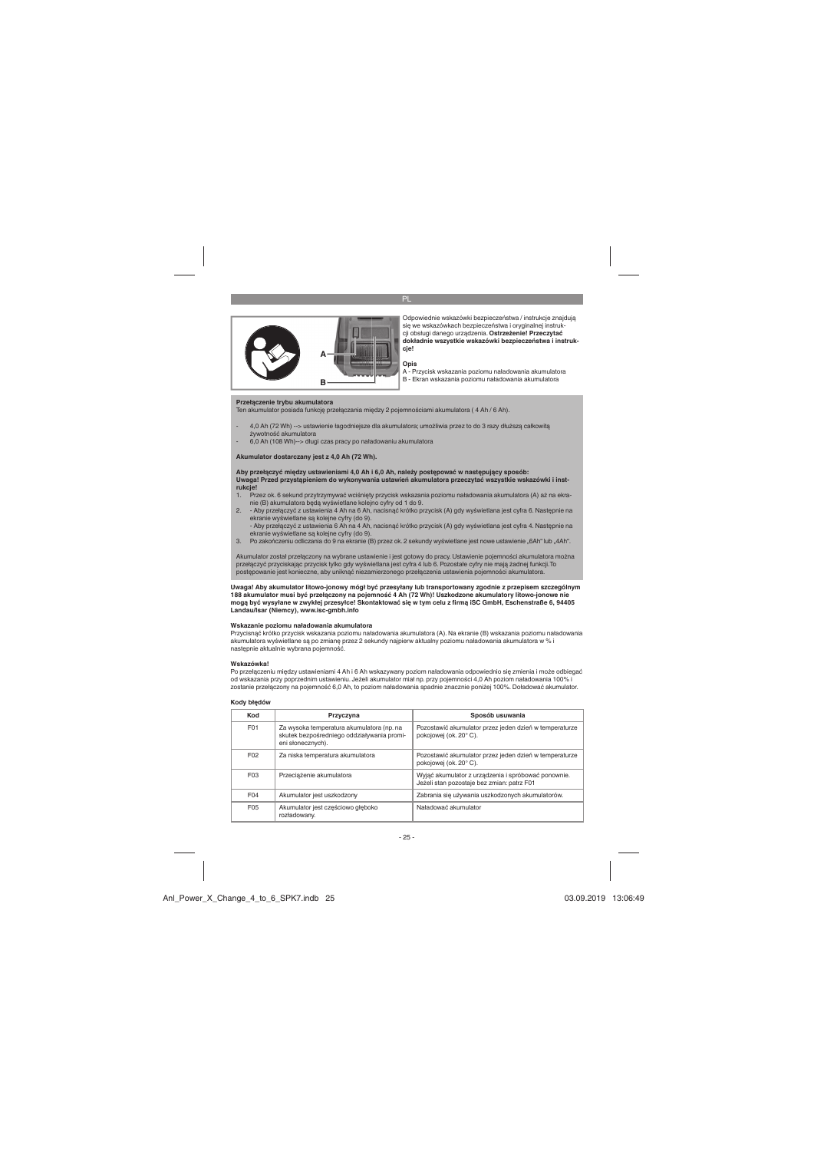

Odpowiednie wskazówki bezpieczeństwa / instrukcje znajdują<br>się we wskazówkach bezpieczeństwa i oryginalnej instruk-<br>cji obsługi danego urządzenia. Ostrzeżenie! Przeczytać<br>dokładnie wszystkie wskazówki bezpieczeństwa i inst **cje!**

**Opis** A - Przycisk wskazania poziomu naładowania akumulatora B - Ekran wskazania poziomu naładowania akumulatora

**Przełączenie trybu akumulatora** Ten akumulator posiada funkcję przełączania między 2 pojemnościami akumulatora ( 4 Ah / 6 Ah).

- 4,0 Ah (72 Wh) --> ustawienie łagodniejsze dla akumulatora; umożliwia przez to do 3 razy dłuższą całkowitą<br>– żywotność akumulatora<br>- 6,0 Ah (108 Wh)--> długi czas pracy po naładowaniu akumulatora
- 

## **Akumulator dostarczany jest z 4,0 Ah (72 Wh).**

## Aby przełączyć między ustawieniami 4,0 Ah i 6,0 Ah, należy postępować w następujący sposób:<br>Uwaga! Przed przystąpieniem do wykonywania ustawień akumulatora przeczytać wszystkie wskazówki i inst·

- 
- rukcje!<br>1. Przez ok. 6 sekund przytrzymywać wciśnięty przycisk wskazania poziomu naładowania akumulatora (A) aż na ekra-<br>2. Aby przełączyć z ustawienia 4 Ah na 6 Ah, nacisnąć krótko przycisk (A) gdy wyświetlana jest cyfra
- 

Akumulator został przełączony na wybrane ustawienie i jest gotowy do pracy. Ustawienie pojemności akumulatora można<br>przełączyć przyciskając przycisk tylko gdy wyświetlana jest cyfra 4 lub 6. Pozostałe cyfry nie mają żadnej

Uwaga! Aby akumulator litowo-jonowy mógł być przesyłany lub transportowany zgodnie z przepisem szczególnym<br>188 akumulator musi być przełączony na pojemność 4 Ah (72 Wh)! Uszkodzone akumulatory litowo-jonowe nie<br>mogą być

W**skazanie poziomu naładowania akumulatora**<br>Przycisnąć krótko przycisk wskazania poziomu naładowania akumulatora (A). Na ekranie (B) wskazania poziomu naładowania<br>akumulatora wyświetlane są po zmianę przez 2 sekundy najpie

## **Wskazówka!**

Po przełączeniu między ustawieniami 4 Ah i 6 Ah wskazywany poziom naładowania odpowiednio się zmienia i może odbiegać<br>od wskazania przy poprzednim ustawieniu. Jeżeli akumulator miał np. przy pojemności 4,0 Ah poziom nałado

| Kody błędów     |                                                                                                              |                                                                                                   |
|-----------------|--------------------------------------------------------------------------------------------------------------|---------------------------------------------------------------------------------------------------|
| Kod             | Przyczyna                                                                                                    | Sposób usuwania                                                                                   |
| F <sub>01</sub> | Za wysoka temperatura akumulatora (np. na<br>skutek bezpośredniego oddziaływania promi-<br>eni słonecznych). | Pozostawić akumulator przez jeden dzień w temperaturze<br>pokojowej (ok. 20°C).                   |
| F <sub>02</sub> | Za niska temperatura akumulatora                                                                             | Pozostawić akumulator przez jeden dzień w temperaturze<br>pokojowej (ok. 20°C).                   |
| F <sub>03</sub> | Przeciażenie akumulatora                                                                                     | Wyjąć akumulator z urządzenia i spróbować ponownie.<br>Jeżeli stan pozostaje bez zmian: patrz F01 |
| F <sub>04</sub> | Akumulator iest uszkodzony                                                                                   | Zabrania się używania uszkodzonych akumulatorów.                                                  |
| F <sub>05</sub> | Akumulator jest częściowo głęboko<br>rozładowany.                                                            | Naładować akumulator                                                                              |

- 25 -

Anl\_Power\_X\_Change\_4\_to\_6\_SPK7.indb 25 03.09.2019 13:06:49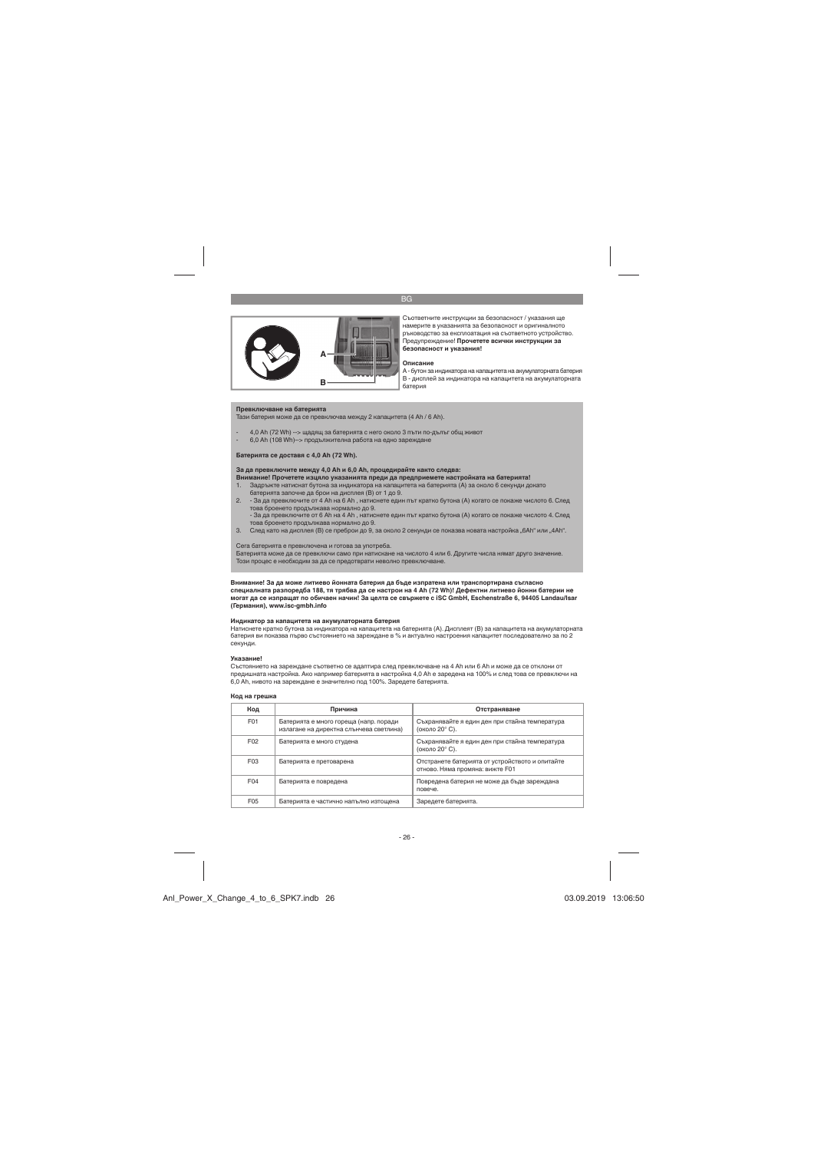

Съответните инструкции за безопасност / указания ще<br>намерите в указанията за безопасност и оригиналното<br>ръководство за експлоатация на съответното устройство.<br>Предупреждение! **Прочетете всички инструкции за**<br>**безопасност** 

**Описание**<br>А - бутон за индикатора на капацитета на акумулаторната батерия<br>В - дисплей за индикатора на капацитета на акумулаторната<br>батерия

## **Превключване на батерията** Тази батерия може да се превключва между 2 капацитета (4 Ah / 6 Ah).

- 4,0 Ah (72 Wh) --> щадящ за батерията с него около 3 пъти по-дълъг общ живот - 6,0 Ah (108 Wh)--> продължителна работа на едно зареждане

 $\Box$ I

## **Батерията се доставя с 4,0 Ah (72 Wh).**

- 
- За да превилючите между 4,0 Аh и 6,0 Аh, процедирайте както следав:<br>Внимание! Прочетете изцяло указанията преди да предприемиете настройката на батерията!<br>1. Задръжте натиснат бутона за индикатора на капацитета на батери
- 

Сега батерията е превключена и готова за употреба.<br>Батерията може да се превключи само при натискане на числото 4 или 6. Другите числа нямат друго значение.<br>Този процес е необходим за да се предотврати неволно превключван

Внимание! За да може литиево йонната батерия да бъде изпратена или транспортирана съгласно<br>специалната разпоредба 188, тя трябва да се настрои на 4 Ah (72 Wh)! Дефектни литиево йонни батерии не<br>могат да се изпращат по оби

Индинатор за напацитета на акумулаторната батерия<br>Натиснете кратко бутона за индикатора на капацитета на батерията (А). Дисплеят (В) за капацитета на акумулаторната<br>бакунди.<br>секунди.

**Указание!**<br>Състоянието на зареждане съответно се адаптира след превключване на 4 Ah или 6 Ah и може да се отклони от<br>предишната настройка. Ако например батерията в настройка 4,0 Ah е заредена на 100% и след това се превк

**Код на грешка**

| Код             | Причина                                                                           | Отстраняване                                                                       |
|-----------------|-----------------------------------------------------------------------------------|------------------------------------------------------------------------------------|
| F <sub>01</sub> | Батерията е много гореща (напр. поради<br>излагане на директна слънчева светлина) | Съхранявайте я един ден при стайна температура<br>(около 20°С).                    |
| F <sub>02</sub> | Батерията е много студена                                                         | Съхранявайте я един ден при стайна температура<br>(около 20° С).                   |
| F <sub>03</sub> | Батерията е претоварена                                                           | Отстранете батерията от устройството и опитайте<br>отново. Няма промяна: вижте F01 |
| F <sub>04</sub> | Батерията е повредена                                                             | Повредена батерия не може да бъде зареждана<br>повече.                             |
| F <sub>05</sub> | Батерията е частично напълно изтощена                                             | Заредете батерията.                                                                |

- 26 -

Anl\_Power\_X\_Change\_4\_to\_6\_SPK7.indb 26 03.09.2019 13:06:50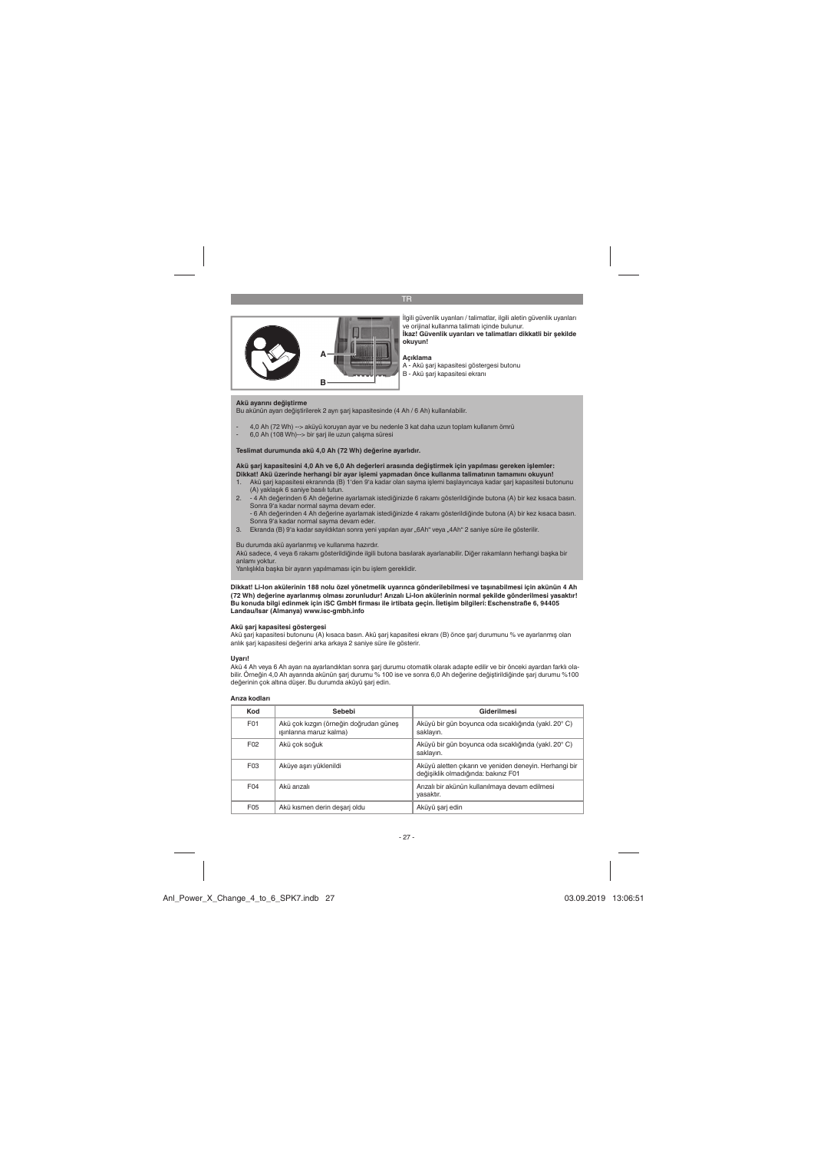

İlgili güvenlik uyarıları / talimatlar, ilgili aletin güvenlik uyarıları ve orijinal kullanma talimatı içinde bulunur. **İkaz! Güvenlik uyarıları ve talimatları dikkatli bir şekilde okuyun!**

**Açıklama**<br>A - Akü şarj kapasitesi göstergesi butonu<br>B - Akü şarj kapasitesi ekranı

**Akü ayarını değiştirme** Bu akünün ayarı değiştirilerek 2 ayrı şarj kapasitesinde (4 Ah / 6 Ah) kullanılabilir.

 $\Box$ 

- 4,0 Ah (72 Wh) --> aküyü koruyan ayar ve bu nedenle 3 kat daha uzun toplam kullanım ömrü 6,0 Ah (108 Wh)--> bir şarj ile uzun çalışma süresi
- **Teslimat durumunda akü 4,0 Ah (72 Wh) değerine ayarlıdır.**

- 
- Akü şarj kapasitesisni 4,0 Ah ve 6,0 Ah değerleri arasında değiştirmek için yapılması gereken işlemler:<br>Dikkatl Akü üzerinde herhangi bir ayar işlemi yapmadan önce kullanma talimatının tamamını okuyun!<br>1. Akü şarj kapasite
	-
- 

Bu durumda akü ayarlanmış ve kullanıma hazırdır. Akü sadece, 4 veya 6 rakamı gösterildiğinde ilgili butona basılarak ayarlanabilir. Diğer rakamların herhangi başka bir anlamı yoktur. Yanlışlıkla başka bir ayarın yapılmaması için bu işlem gereklidir.

Dikkat! Li-lon akülerinin 188 nolu özel yönetmelik uyarınca gönderilebilmesi ve taşınabilmesi için akünün 4 Ah<br>(72 Wh) değerine ayarlanmış olması zorunludur! Arızalı Li-lon akülerinin normal şekilde gönderilmesi yasaktır!<br>

**Akü şarj kapasitesi göstergesi**<br>Akü şarj kapasitesi bulonunu (A) kısaca basın. Akü şarj kapasitesi ekranı (B) önce şarj durumunu % ve ayarlanmış olan<br>anlık şarj kapasitesi değerini arka arkaya 2 saniye süre ile gösterir.

**Uyarı!**<br>Akü 4 Ah veya 6 Ah ayarı na ayarlandıktan sonra şarj durumu otomatik olarak adapte edilir ve bir önceki ayardan farklı ola-<br>bilir. Örneğin 4,0 Ah ayarında akünün şarj durumu % 100 ise ve sonra 6,0 Ah değerine deği

**Arıza kodları**

| Kod             | Sebebi                                                            | Giderilmesi                                                                                   |
|-----------------|-------------------------------------------------------------------|-----------------------------------------------------------------------------------------------|
| F <sub>01</sub> | Akü çok kızgın (örneğin doğrudan güneş<br>isinlarina maruz kalma) | Aküyü bir gün boyunca oda sıcaklığında (yakl. 20° C)<br>saklayın.                             |
| F <sub>02</sub> | Akü çok soğuk                                                     | Aküyü bir gün boyunca oda sıcaklığında (yakl. 20°C)<br>saklayın.                              |
| F <sub>03</sub> | Aküye aşırı yüklenildi                                            | Aküyü aletten çıkarın ve yeniden deneyin. Herhangi bir<br>değişiklik olmadığında: bakınız F01 |
| F <sub>04</sub> | Akü arızalı                                                       | Arızalı bir akünün kullanılmaya devam edilmesi<br>yasaktır.                                   |
| F <sub>05</sub> | Akü kısmen derin deşarj oldu                                      | Aküyü şarj edin                                                                               |

- 27 -

Anl\_Power\_X\_Change\_4\_to\_6\_SPK7.indb 27 03.09.2019 13:06:51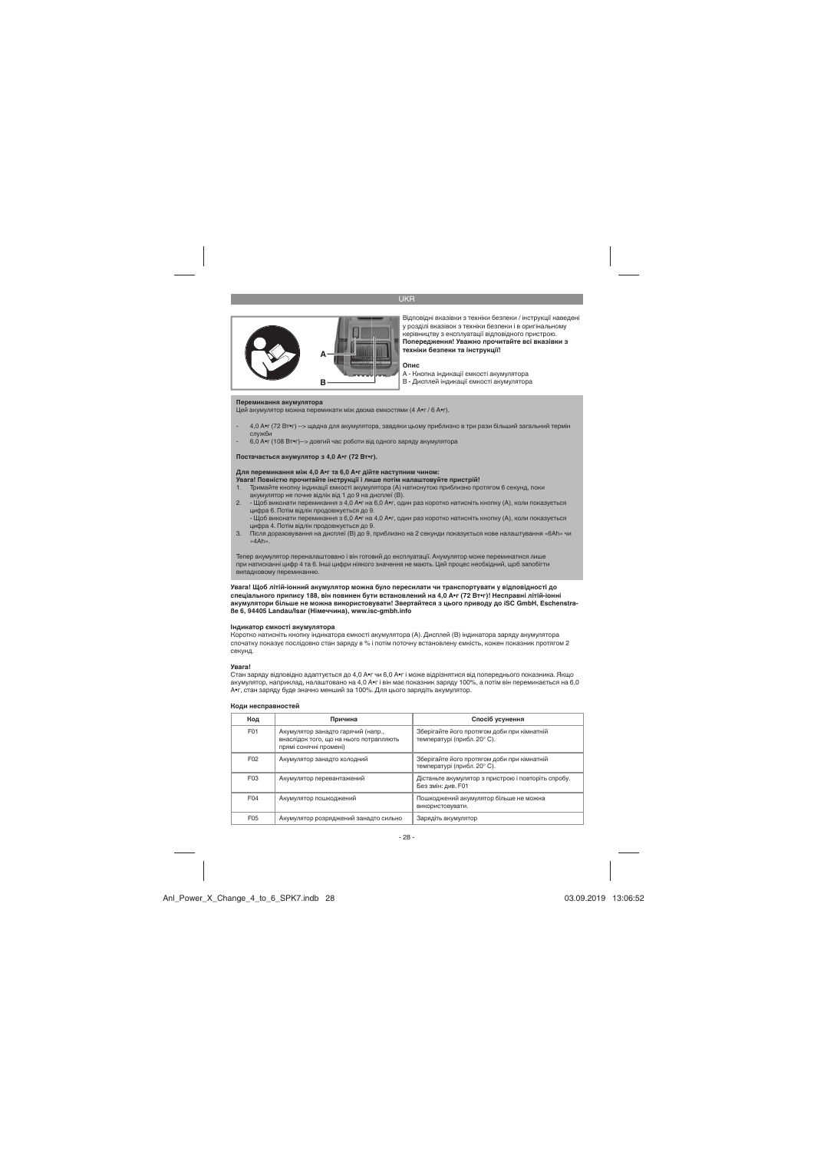

Відповідні вказівки з техніки безпеки / інструкції наведен<br>у розділ вказівки з техніки безпеки і в оригінальному<br>керівництву з експлуатації відповідного пристрою.<br>**Попередження! Уважно прочитайте всі вказівки з**<br>**техніки Опис**

A - Кнопка індикації ємкості акумулятора B - Дисплей індикації ємкості акумулятора

## **Перемикання акумулятора**

икати між двома ємкостями (4 А•г / 6 А•г).

 $\Box$ 

- 4,0 А•г (72 Вт•г) --> щадна для акумулятора, завдяки цьому приблизно в три рази більший загальний термін служби - 6,0 А•г (108 Вт•г)--> довгий час роботи від одного заряду акумулятора
	-

## **Постачається акумулятор з 4,0 A•г (72 Вт•г).**

- 
- 
- 
- для переминания між 4,0 A+r та 6,0 A+r дійте наступним чином:<br>
Увага! Повністю прочитайте інструкції і лише потім налаштовуйте пристрій!<br>
1. Примайте кнопку індикації ємкості акумулятора (А) натиснутою приблизно протягом
- 

Тепер акумулятор переналаштовано і він готовий до експлуатації. Акумулятор може перемикатися лише<br>при натисканні цифр 4 та 6. Інші цифри ніякого значення не мають. Цей процес необхідний, щоб запобігти<br>випадковому перемика

Увага! Щоб літій-іонний акумулятор можна було пересилати чи транспортувати у відповідності до<br>спеціального припису 188, він повинен бути встановлений на 4,0 А•г (72 Вт•г)! Несправні літій-іонні<br>акумулятори більше не можна

**Індикатор ємкості акумулятора**<br>Коротко натисніть кнопку індикатора ємкості акумулятора (А). Дисплей (В) індикатора заряду акумулятора<br>спочатку показує послідовно стан заряду в % і потім поточну встановлену ємкість, кожен

## **Увага!**

Стан заряду відповідно адаптується до 4,0 А•г чи 6,0 А•г і може відрізнятися від попереднього показника. Якщо<br>акумулятор, наприклад, налаштовано на 4,0 А•г і він має показник заряду 100%, а потім він перемикається на 6,0<br>

## **Коди несправностей**

| Код             | Причина                                                                                                 | Спосіб усунення                                                           |
|-----------------|---------------------------------------------------------------------------------------------------------|---------------------------------------------------------------------------|
| F <sub>01</sub> | Акумулятор занадто гарячий (напр.,<br>внаслідок того, що на нього потрапляють<br>прямі сонячні промені) | Зберігайте його протягом доби при кімнатній<br>температурі (прибл. 20°С). |
| F <sub>02</sub> | Акумулятор занадто холодний                                                                             | Зберігайте його протягом доби при кімнатній<br>температурі (прибл. 20°С). |
| F <sub>03</sub> | Акумулятор перевантажений                                                                               | Дістаньте акумулятор з пристрою і повторіть спробу.<br>Без змін: див. F01 |
| F <sub>04</sub> | Акумулятор пошкоджений                                                                                  | Пошкоджений акумулятор більше не можна<br>використовувати.                |
| F <sub>05</sub> | Акумулятор розряджений занадто сильно                                                                   | Зарядіть акумулятор                                                       |

- 28 -

Anl\_Power\_X\_Change\_4\_to\_6\_SPK7.indb 28 03.09.2019 13:06:52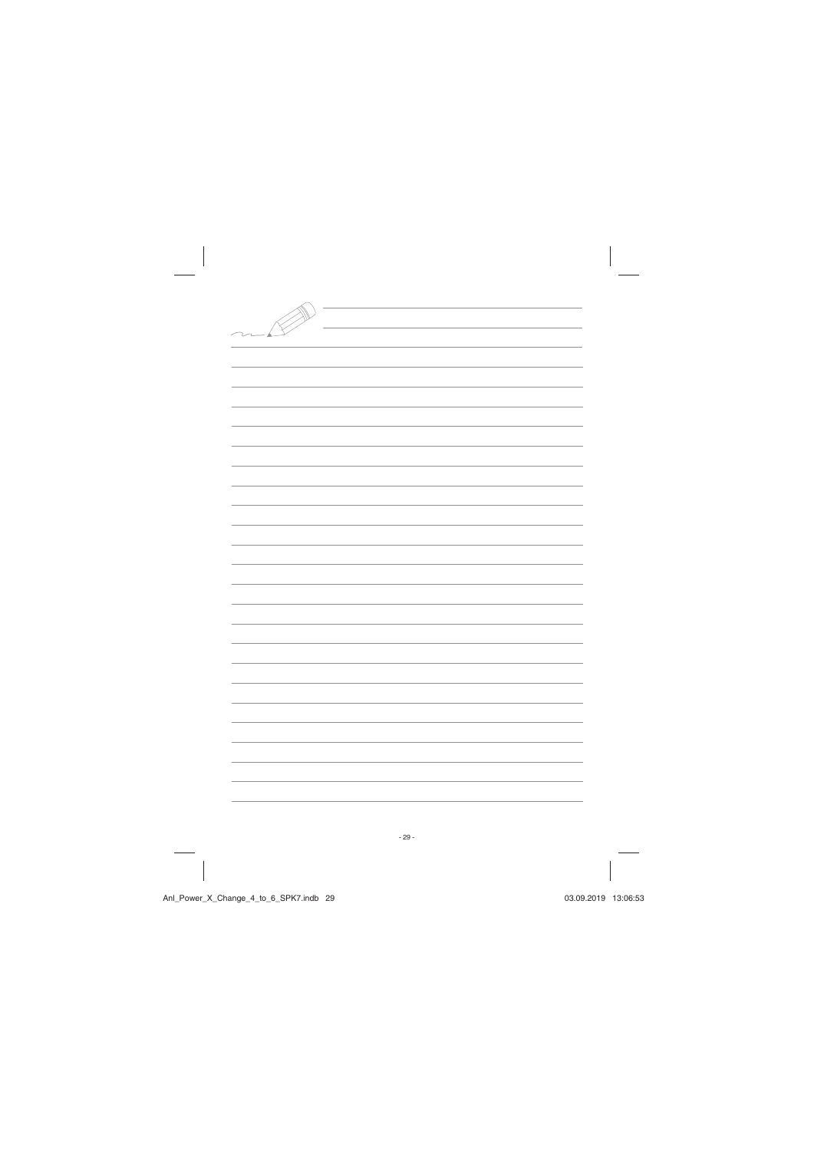| the control of the control of the control of the control of the control of the control of<br>▲ |  |
|------------------------------------------------------------------------------------------------|--|
|                                                                                                |  |
|                                                                                                |  |
|                                                                                                |  |
|                                                                                                |  |
|                                                                                                |  |
|                                                                                                |  |
|                                                                                                |  |
|                                                                                                |  |
| $-29-$                                                                                         |  |
|                                                                                                |  |

Anl\_Power\_X\_Change\_4\_to\_6\_SPK7.indb 29 03.09.2019 13:06:53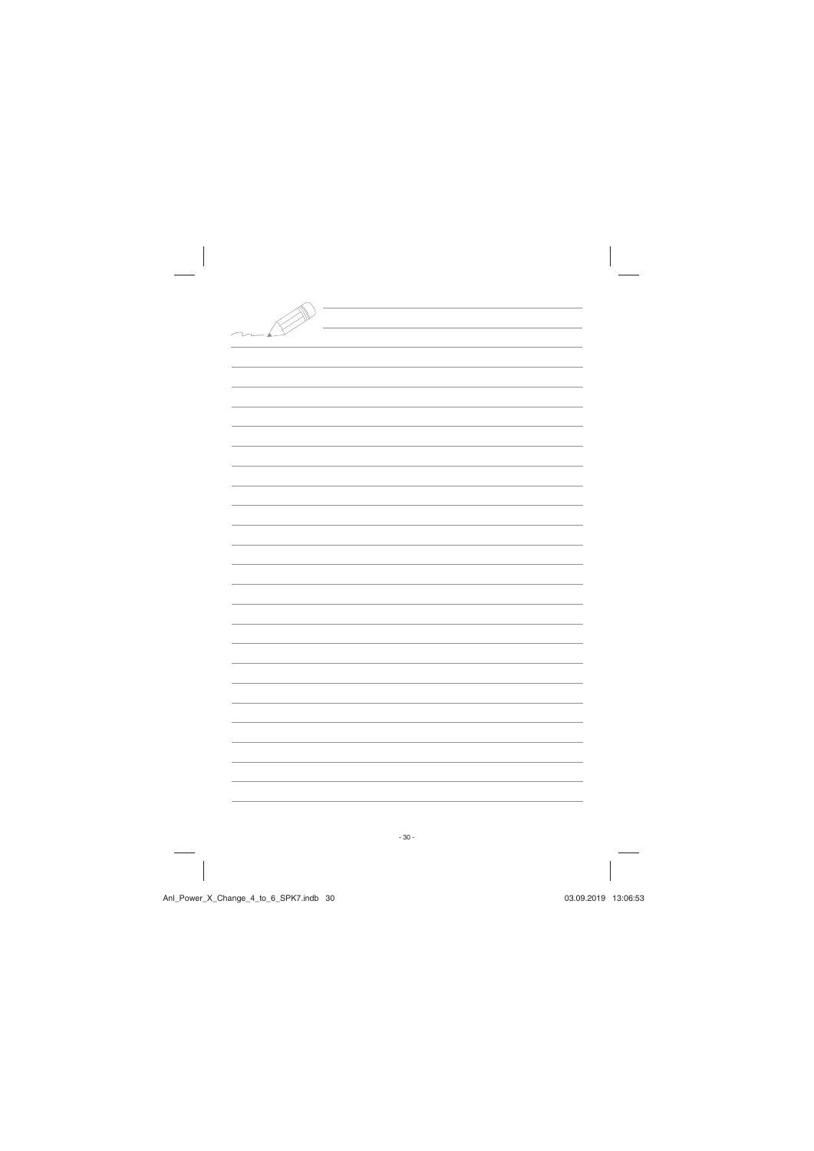| $-30-$ |  |
|--------|--|
|        |  |

Anl\_Power\_X\_Change\_4\_to\_6\_SPK7.indb 30 nl\_Power\_X\_Change\_4\_to\_6\_SPK7.indb 03.09.2019 13:06:53 3.09.2019

 $\begin{array}{c} \hline \end{array}$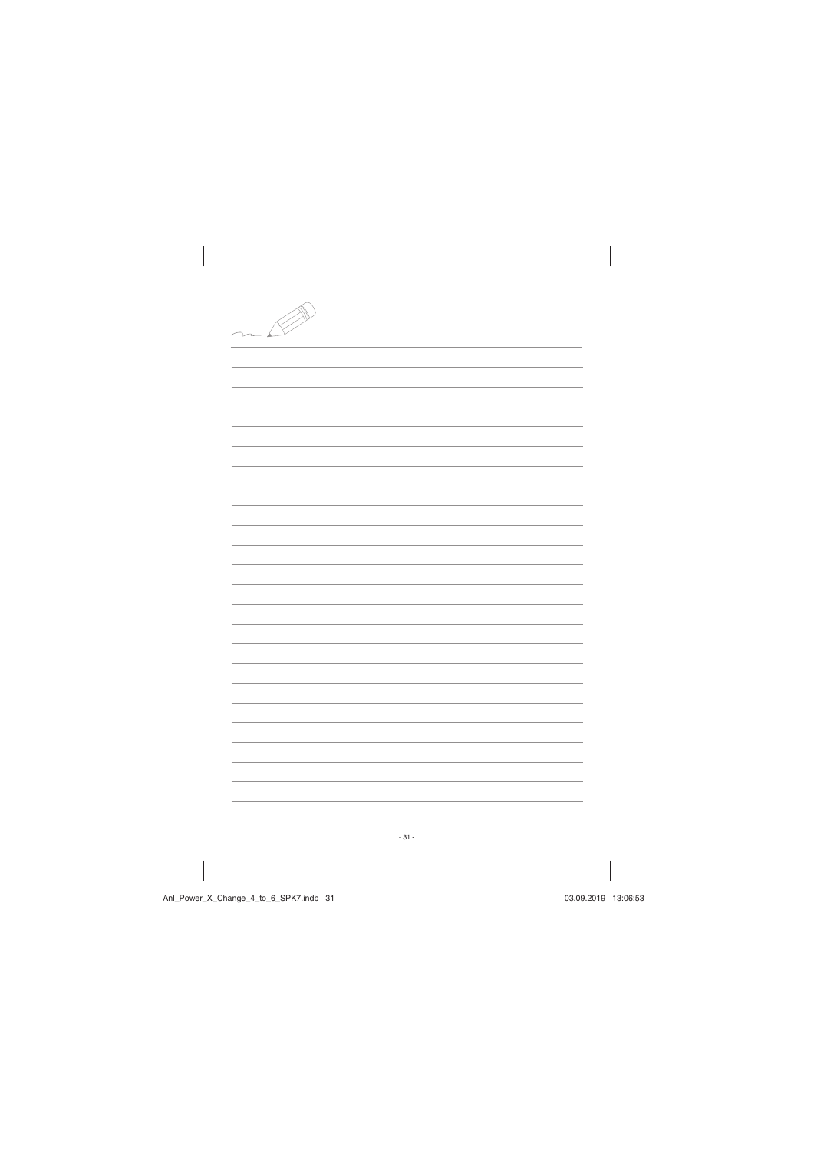| $-31 -$ |  |
|---------|--|

Anl\_Power\_X\_Change\_4\_to\_6\_SPK7.indb 31 03.09.2019 13:06:53

 $\begin{array}{c} \hline \end{array}$